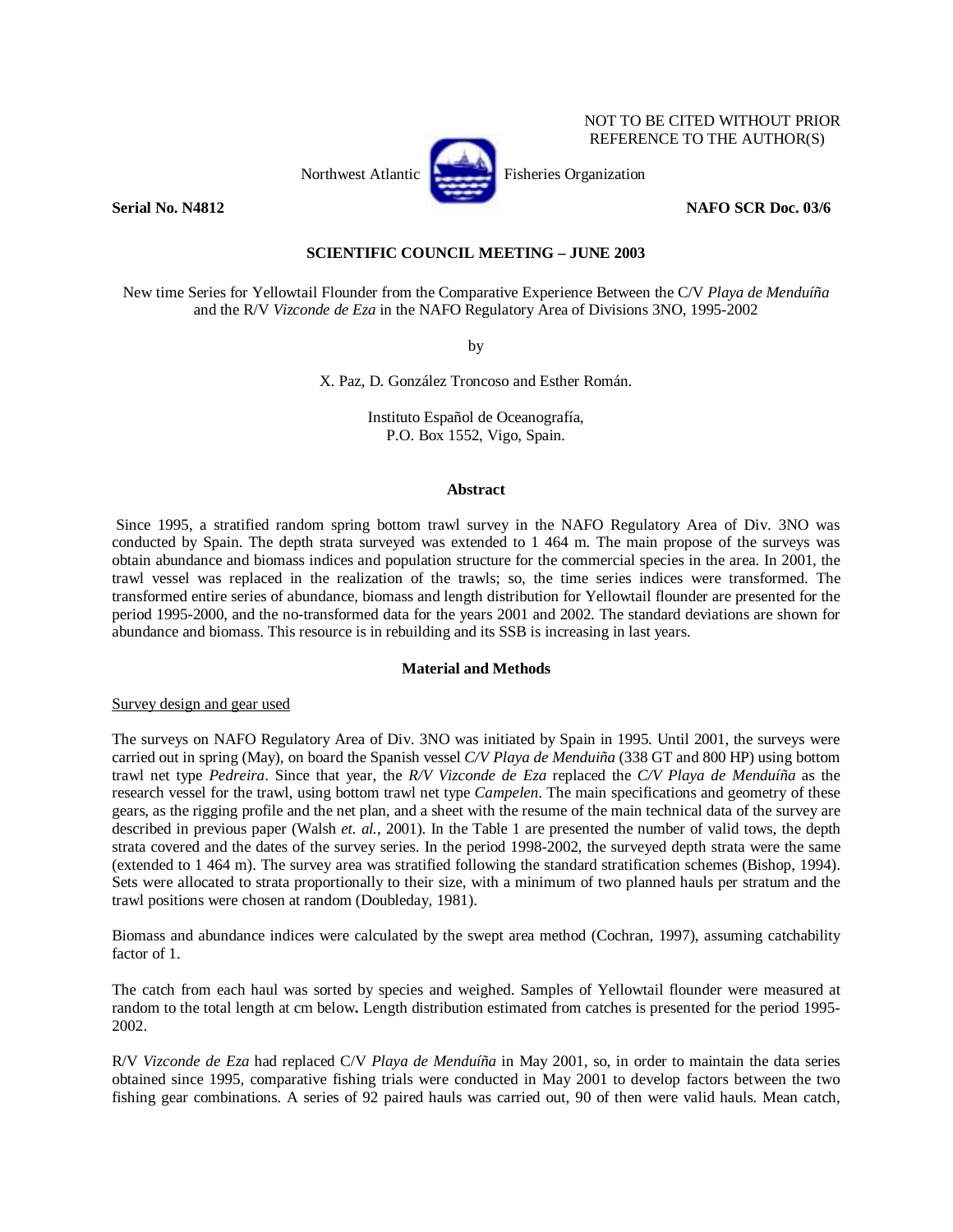# NOT TO BE CITED WITHOUT PRIOR REFERENCE TO THE AUTHOR(S)



**Serial No. N4812** NAFO SCR Doc. 03/6

# **SCIENTIFIC COUNCIL MEETING – JUNE 2003**

New time Series for Yellowtail Flounder from the Comparative Experience Between the C/V *Playa de Menduíña* and the R/V *Vizconde de Eza* in the NAFO Regulatory Area of Divisions 3NO, 1995-2002

by

X. Paz, D. González Troncoso and Esther Román.

Instituto Español de Oceanografía, P.O. Box 1552, Vigo, Spain.

# **Abstract**

 Since 1995, a stratified random spring bottom trawl survey in the NAFO Regulatory Area of Div. 3NO was conducted by Spain. The depth strata surveyed was extended to 1 464 m. The main propose of the surveys was obtain abundance and biomass indices and population structure for the commercial species in the area. In 2001, the trawl vessel was replaced in the realization of the trawls; so, the time series indices were transformed. The transformed entire series of abundance, biomass and length distribution for Yellowtail flounder are presented for the period 1995-2000, and the no-transformed data for the years 2001 and 2002. The standard deviations are shown for abundance and biomass. This resource is in rebuilding and its SSB is increasing in last years.

# **Material and Methods**

## Survey design and gear used

The surveys on NAFO Regulatory Area of Div. 3NO was initiated by Spain in 1995. Until 2001, the surveys were carried out in spring (May), on board the Spanish vessel *C/V Playa de Menduiña* (338 GT and 800 HP) using bottom trawl net type *Pedreira*. Since that year, the *R/V Vizconde de Eza* replaced the *C/V Playa de Menduíña* as the research vessel for the trawl, using bottom trawl net type *Campelen*. The main specifications and geometry of these gears, as the rigging profile and the net plan, and a sheet with the resume of the main technical data of the survey are described in previous paper (Walsh *et. al.*, 2001). In the Table 1 are presented the number of valid tows, the depth strata covered and the dates of the survey series. In the period 1998-2002, the surveyed depth strata were the same (extended to 1 464 m). The survey area was stratified following the standard stratification schemes (Bishop, 1994). Sets were allocated to strata proportionally to their size, with a minimum of two planned hauls per stratum and the trawl positions were chosen at random (Doubleday, 1981).

Biomass and abundance indices were calculated by the swept area method (Cochran, 1997), assuming catchability factor of 1.

The catch from each haul was sorted by species and weighed. Samples of Yellowtail flounder were measured at random to the total length at cm below**.** Length distribution estimated from catches is presented for the period 1995- 2002.

R/V *Vizconde de Eza* had replaced C/V *Playa de Menduíña* in May 2001, so, in order to maintain the data series obtained since 1995, comparative fishing trials were conducted in May 2001 to develop factors between the two fishing gear combinations. A series of 92 paired hauls was carried out, 90 of then were valid hauls. Mean catch,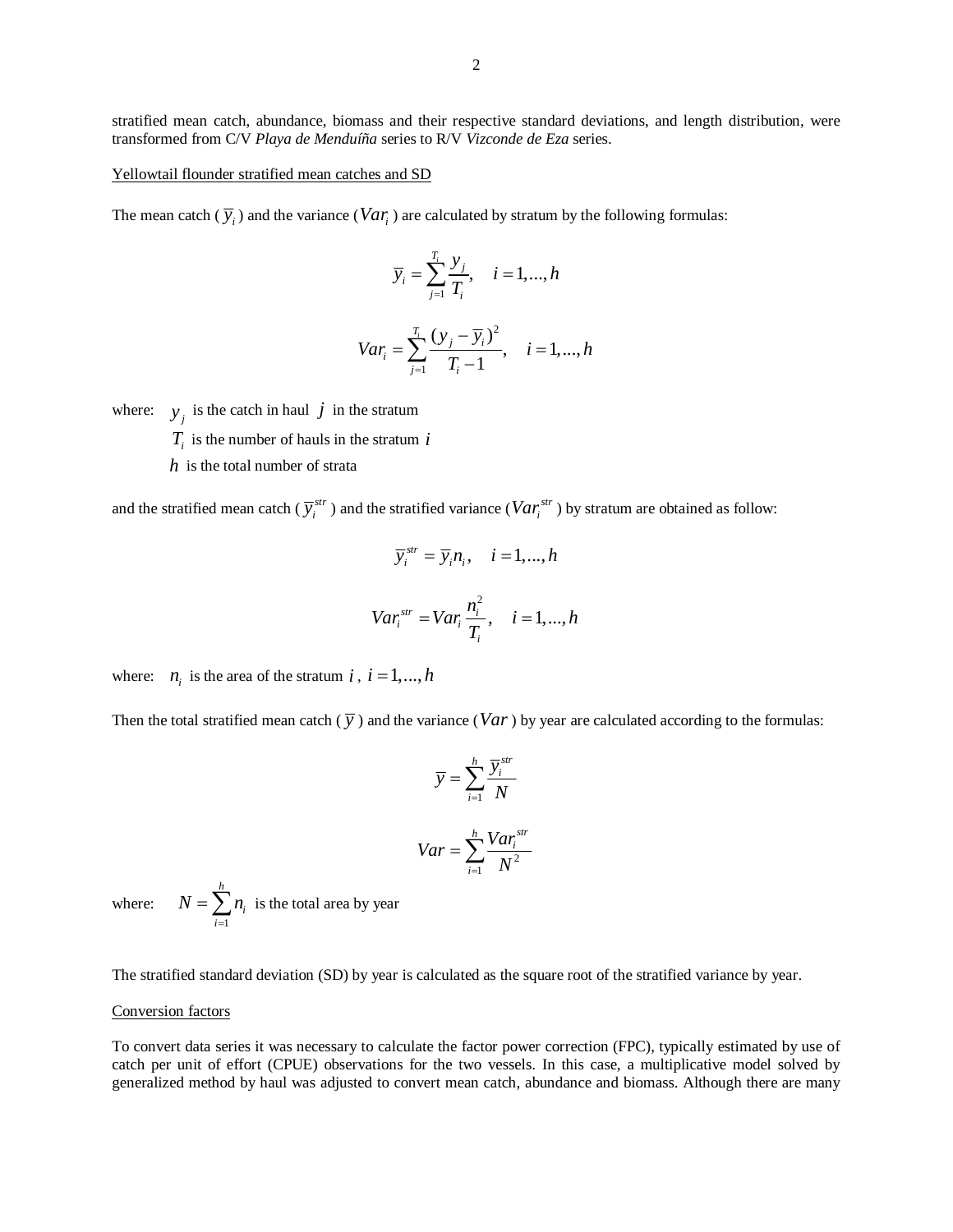stratified mean catch, abundance, biomass and their respective standard deviations, and length distribution, were transformed from C/V *Playa de Menduíña* series to R/V *Vizconde de Eza* series.

Yellowtail flounder stratified mean catches and SD

The mean catch  $(\overline{y}_i)$  and the variance (*Var<sub>i</sub>*) are calculated by stratum by the following formulas:

$$
\overline{y}_i = \sum_{j=1}^{T_i} \frac{y_j}{T_i}, \quad i = 1, \dots, h
$$

$$
Var_i = \sum_{j=1}^{T_i} \frac{(y_j - \overline{y}_i)^2}{T_i - 1}, \quad i = 1, ..., h
$$

where:  $y_j$  is the catch in haul *j* in the stratum

- $T_i$  is the number of hauls in the stratum *i*
- *h* is the total number of strata

and the stratified mean catch ( $\overline{y}_i^{str}$ ) and the stratified variance ( $Var_i^{str}$ ) by stratum are obtained as follow:

$$
\overline{y}_i^{str} = \overline{y}_i n_i, \quad i = 1, ..., h
$$
  

$$
Var_i^{str} = Var_i \frac{n_i^2}{T_i}, \quad i = 1, ..., h
$$

where:  $n_i$  is the area of the stratum *i*,  $i = 1, ..., h$ 

Then the total stratified mean catch  $(\bar{y})$  and the variance (*Var*) by year are calculated according to the formulas:

$$
\overline{y} = \sum_{i=1}^{h} \frac{\overline{y}_i^{str}}{N}
$$

$$
Var = \sum_{i=1}^{h} \frac{Var_i^{str}}{N^2}
$$

where: 1 *h i i*  $N = \sum n$  $=\sum_{i=1}^{n} n_i$  is the total area by year

The stratified standard deviation (SD) by year is calculated as the square root of the stratified variance by year.

### Conversion factors

To convert data series it was necessary to calculate the factor power correction (FPC), typically estimated by use of catch per unit of effort (CPUE) observations for the two vessels. In this case, a multiplicative model solved by generalized method by haul was adjusted to convert mean catch, abundance and biomass. Although there are many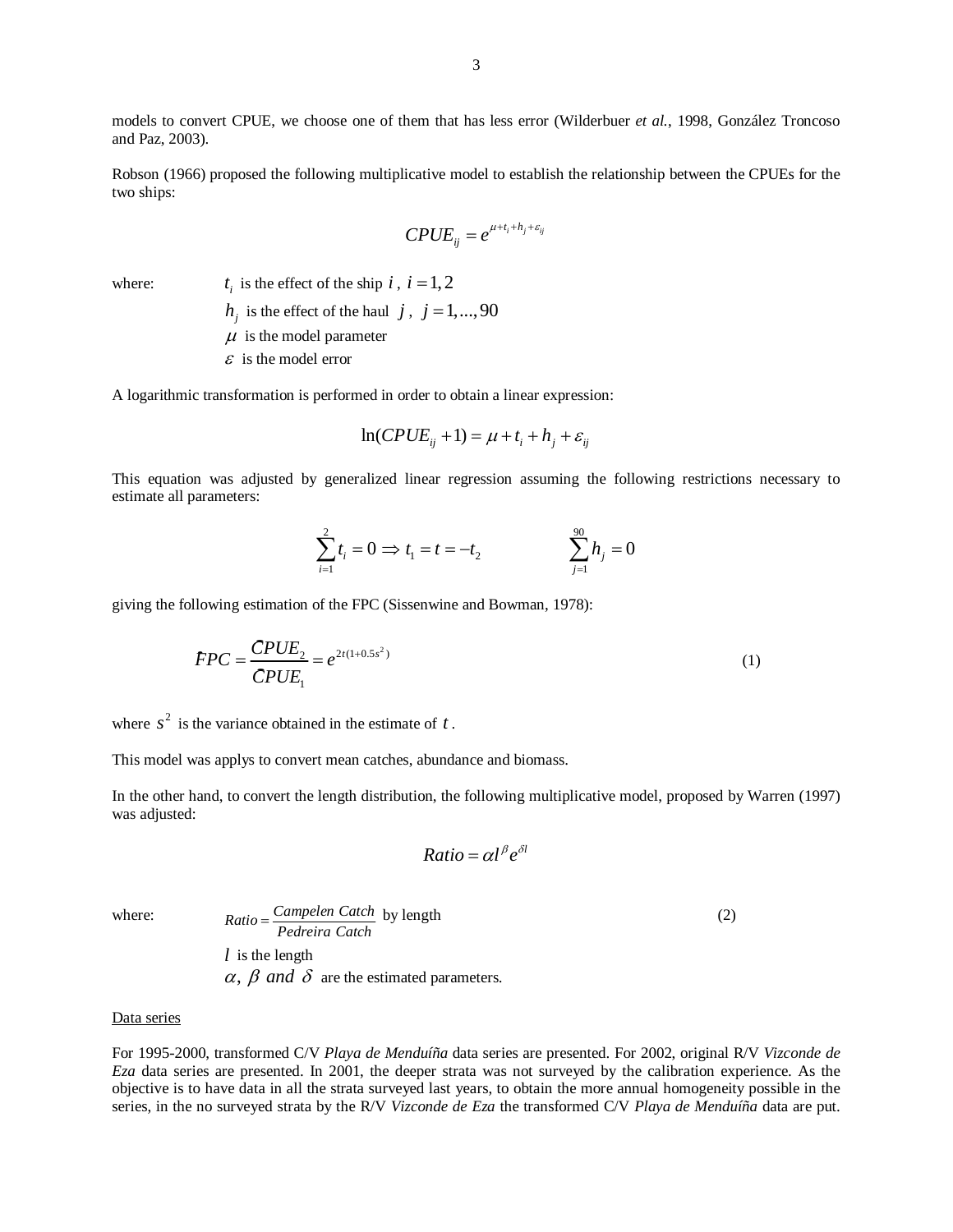models to convert CPUE, we choose one of them that has less error (Wilderbuer *et al.*, 1998, González Troncoso and Paz, 2003).

Robson (1966) proposed the following multiplicative model to establish the relationship between the CPUEs for the two ships:

$$
CPUE_{ij} = e^{\mu + t_i + h_j + \varepsilon_{ij}}
$$

where:  $t_i$  is the effect of the ship  $i$ ,  $i = 1, 2$ 

 $h_i$  is the effect of the haul *j*, *j* = 1,...,90

 $\mu$  is the model parameter

 $\epsilon$  is the model error

A logarithmic transformation is performed in order to obtain a linear expression:

$$
\ln(CPUE_{ij} + 1) = \mu + t_i + h_j + \varepsilon_{ij}
$$

This equation was adjusted by generalized linear regression assuming the following restrictions necessary to estimate all parameters:

$$
\sum_{i=1}^{2} t_i = 0 \implies t_1 = t = -t_2 \qquad \qquad \sum_{j=1}^{90} h_j = 0
$$

giving the following estimation of the FPC (Sissenwine and Bowman, 1978):  
\n
$$
FPC = \frac{CPUE_2}{CPUE_1} = e^{2t(1+0.5s^2)}
$$
\n(1)

where  $s^2$  is the variance obtained in the estimate of  $t$ .

This model was applys to convert mean catches, abundance and biomass.

In the other hand, to convert the length distribution, the following multiplicative model, proposed by Warren (1997) was adjusted:

$$
Ratio = \alpha l^{\beta} e^{\delta l}
$$

where:  $Ratio = \frac{Campleen Catch}{Pedreira Catch}$  by length (2) *l* is the length  $\alpha$ ,  $\beta$  *and*  $\delta$  are the estimated parameters.

#### Data series

For 1995-2000, transformed C/V *Playa de Menduíña* data series are presented. For 2002, original R/V *Vizconde de Eza* data series are presented. In 2001, the deeper strata was not surveyed by the calibration experience. As the objective is to have data in all the strata surveyed last years, to obtain the more annual homogeneity possible in the series, in the no surveyed strata by the R/V *Vizconde de Eza* the transformed C/V *Playa de Menduíña* data are put.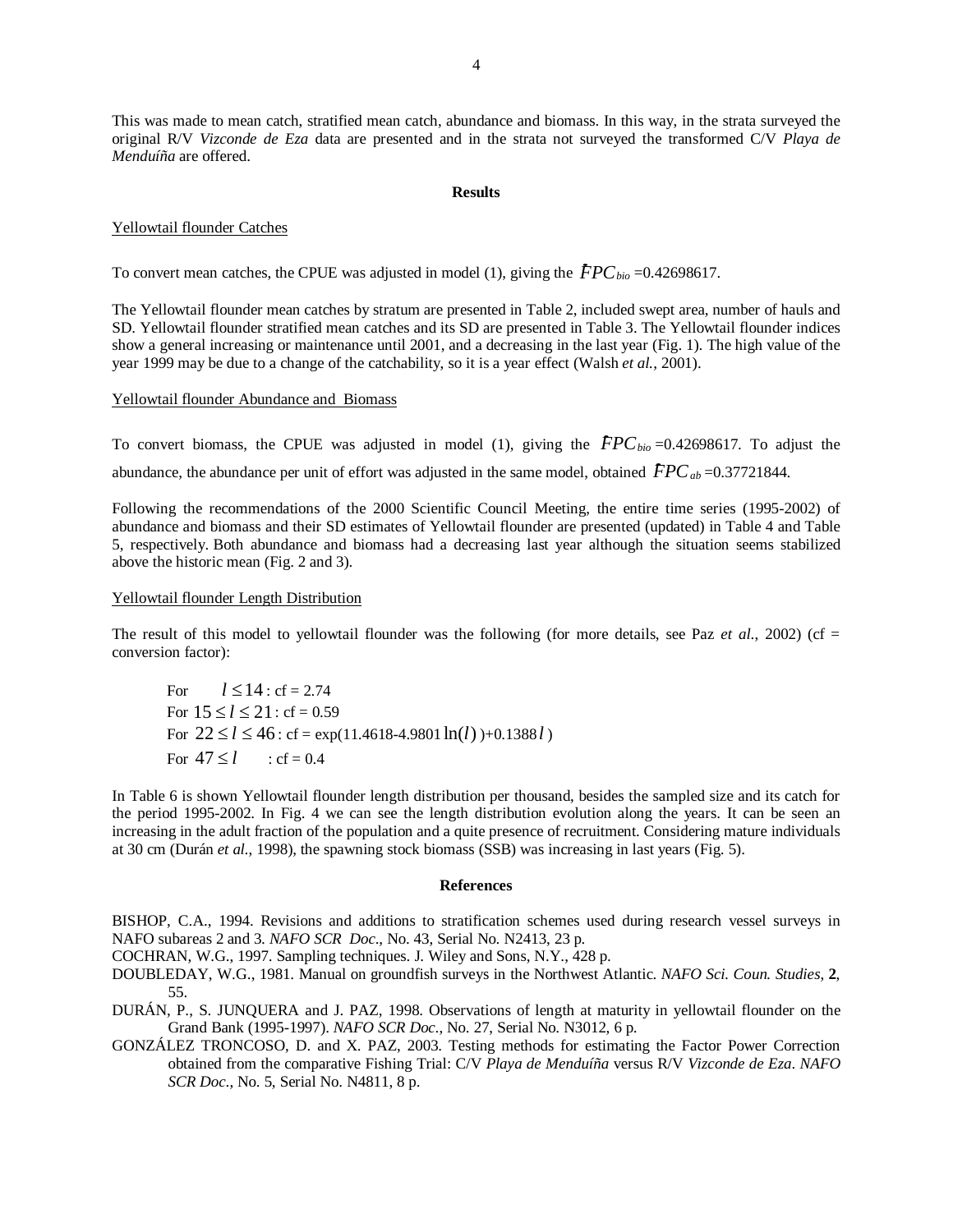This was made to mean catch, stratified mean catch, abundance and biomass. In this way, in the strata surveyed the original R/V *Vizconde de Eza* data are presented and in the strata not surveyed the transformed C/V *Playa de Menduíña* are offered.

### **Results**

### Yellowtail flounder Catches

To convert mean catches, the CPUE was adjusted in model (1), giving the  $FPC_{bio} = 0.42698617$ .

The Yellowtail flounder mean catches by stratum are presented in Table 2, included swept area, number of hauls and SD. Yellowtail flounder stratified mean catches and its SD are presented in Table 3. The Yellowtail flounder indices show a general increasing or maintenance until 2001, and a decreasing in the last year (Fig. 1). The high value of the year 1999 may be due to a change of the catchability, so it is a year effect (Walsh *et al.*, 2001).

### Yellowtail flounder Abundance and Biomass

To convert biomass, the CPUE was adjusted in model (1), giving the  $FPC_{bio} = 0.42698617$ . To adjust the To convert biomass, the CPUE was adjusted in model (1), giving the  $\text{FPC}_{bio} = 0.42698617$ . To adj<br>abundance, the abundance per unit of effort was adjusted in the same model, obtained  $\text{FPC}_{ab} = 0.37721844$ .

Following the recommendations of the 2000 Scientific Council Meeting, the entire time series (1995-2002) of abundance and biomass and their SD estimates of Yellowtail flounder are presented (updated) in Table 4 and Table 5, respectively. Both abundance and biomass had a decreasing last year although the situation seems stabilized above the historic mean (Fig. 2 and 3).

# Yellowtail flounder Length Distribution

The result of this model to yellowtail flounder was the following (for more details, see Paz *et al.*, 2002) (cf = conversion factor):

For  $l < 14$  : cf = 2.74 For  $15 \le l \le 21$ : cf = 0.59 For  $22 \le l \le 46$ : cf = exp(11.4618-4.9801  $\ln(l)$ )+0.1388 *l*) For  $47 \le l$  : cf = 0.4

In Table 6 is shown Yellowtail flounder length distribution per thousand, besides the sampled size and its catch for the period 1995-2002. In Fig. 4 we can see the length distribution evolution along the years. It can be seen an increasing in the adult fraction of the population and a quite presence of recruitment. Considering mature individuals at 30 cm (Durán *et al.*, 1998), the spawning stock biomass (SSB) was increasing in last years (Fig. 5).

#### **References**

BISHOP, C.A., 1994. Revisions and additions to stratification schemes used during research vessel surveys in NAFO subareas 2 and 3*. NAFO SCR Doc*., No. 43, Serial No. N2413, 23 p.

COCHRAN, W.G., 1997. Sampling techniques. J. Wiley and Sons, N.Y., 428 p.

- DOUBLEDAY, W.G., 1981. Manual on groundfish surveys in the Northwest Atlantic. *NAFO Sci. Coun. Studies*, **2**, 55.
- DURÁN, P., S. JUNQUERA and J. PAZ, 1998. Observations of length at maturity in yellowtail flounder on the Grand Bank (1995-1997). *NAFO SCR Doc*., No. 27, Serial No. N3012, 6 p.
- GONZÁLEZ TRONCOSO, D. and X. PAZ, 2003. Testing methods for estimating the Factor Power Correction obtained from the comparative Fishing Trial: C/V *Playa de Menduíña* versus R/V *Vizconde de Eza*. *NAFO SCR Doc*., No. 5, Serial No. N4811, 8 p.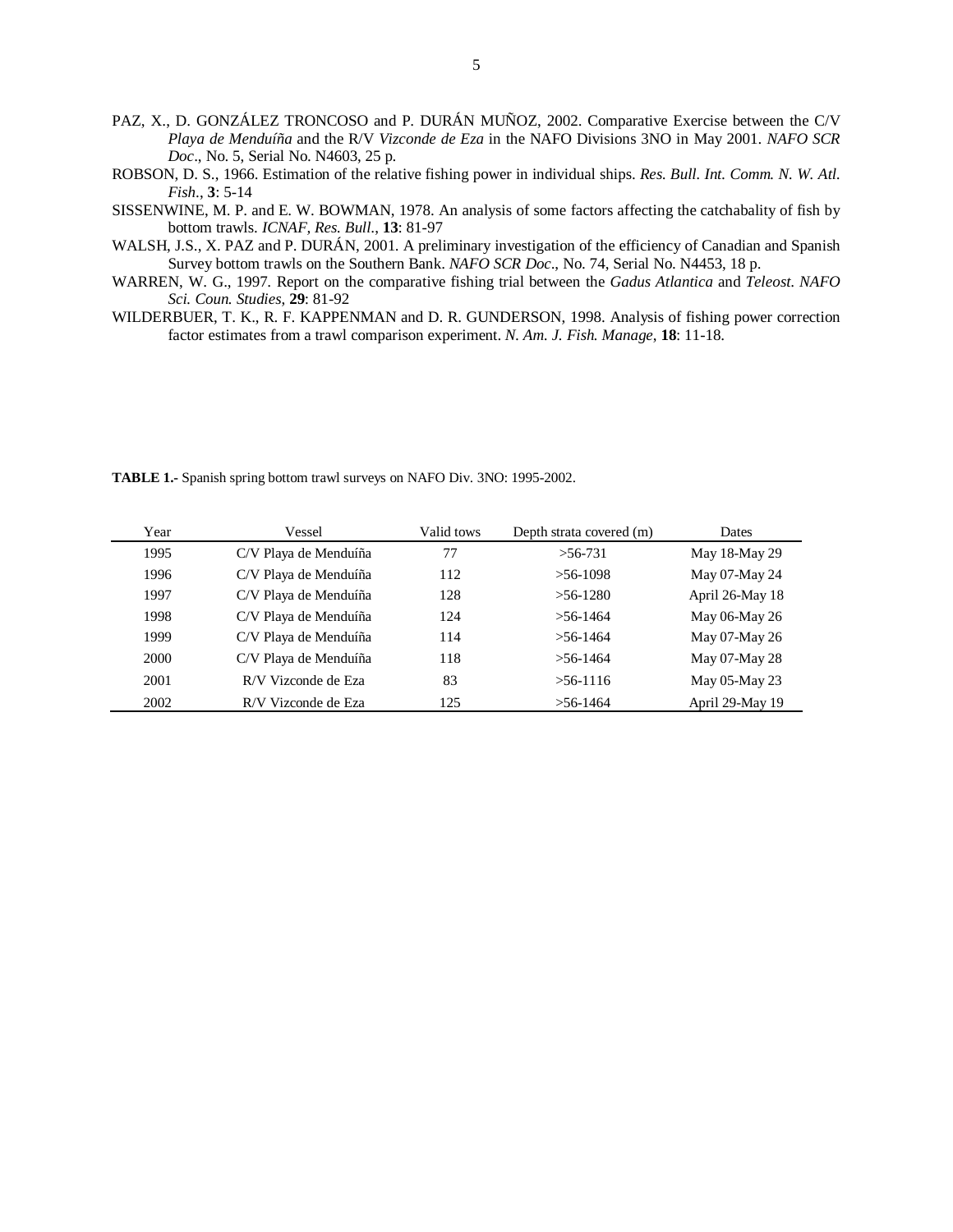- PAZ, X., D. GONZÁLEZ TRONCOSO and P. DURÁN MUÑOZ, 2002. Comparative Exercise between the C/V *Playa de Menduíña* and the R/V *Vizconde de Eza* in the NAFO Divisions 3NO in May 2001. *NAFO SCR Doc*., No. 5, Serial No. N4603, 25 p.
- ROBSON, D. S., 1966. Estimation of the relative fishing power in individual ships. *Res. Bull. Int. Comm. N. W. Atl. Fish*., **3**: 5-14
- SISSENWINE, M. P. and E. W. BOWMAN, 1978. An analysis of some factors affecting the catchabality of fish by bottom trawls. *ICNAF, Res. Bull*., **13**: 81-97
- WALSH, J.S., X. PAZ and P. DURÁN, 2001. A preliminary investigation of the efficiency of Canadian and Spanish Survey bottom trawls on the Southern Bank. *NAFO SCR Doc*., No. 74, Serial No. N4453, 18 p.
- WARREN, W. G., 1997. Report on the comparative fishing trial between the *Gadus Atlantica* and *Teleost*. *NAFO Sci. Coun. Studies*, **29**: 81-92
- WILDERBUER, T. K., R. F. KAPPENMAN and D. R. GUNDERSON, 1998. Analysis of fishing power correction factor estimates from a trawl comparison experiment. *N. Am. J. Fish. Manage*, **18**: 11-18.

Year Vessel Valid tows Depth strata covered (m) Dates 1995 C/V Playa de Menduíña 77 >56-731 May 18-May 29 1996 C/V Playa de Menduíña 112 >56-1098 May 07-May 24 1997 C/V Playa de Menduíña 128 >56-1280 April 26-May 18 1998 C/V Playa de Menduíña 124 >56-1464 May 06-May 26 1999 C/V Playa de Menduíña 114 >56-1464 May 07-May 26 2000 C/V Playa de Menduíña 118 >56-1464 May 07-May 28 2001 R/V Vizconde de Eza 83 >56-1116 May 05-May 23 2002 R/V Vizconde de Eza 125 >56-1464 April 29-May 19

**TABLE 1.-** Spanish spring bottom trawl surveys on NAFO Div. 3NO: 1995-2002.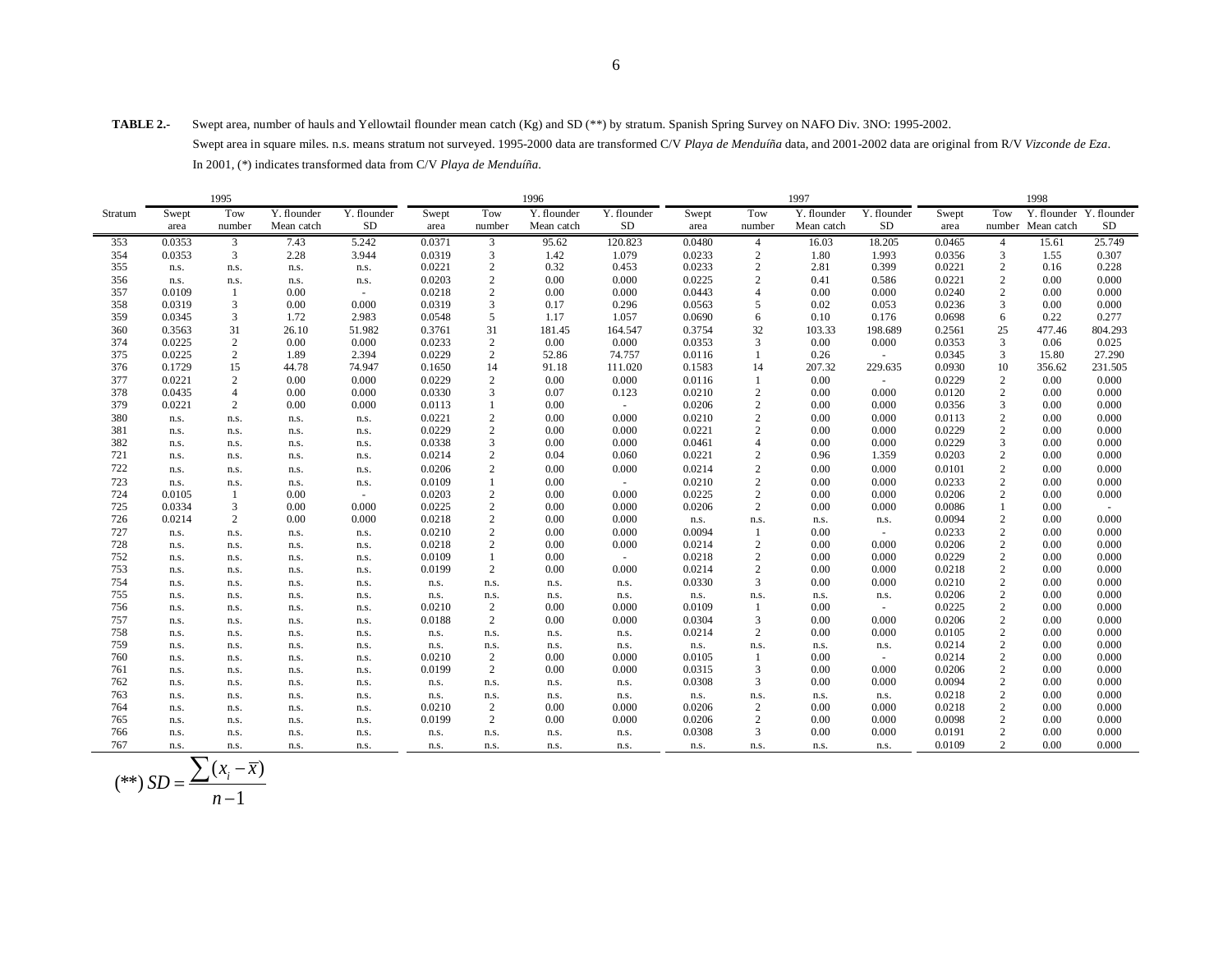**TABLE 2.-** Swept area, number of hauls and Yellowtail flounder mean catch (Kg) and SD (\*\*) by stratum. Spanish Spring Survey on NAFO Div. 3NO: 1995-2002. Swept area in square miles. n.s. means stratum not surveyed. 1995-2000 data are transformed C/V *Playa de Menduíña* data, and 2001-2002 data are original from R/V *Vizconde de Eza*. In 2001, (\*) indicates transformed data from C/V *Playa de Menduíña*.

|         |        |                |             | 1996        |        |                |             |             | 1998   |                |             |                          |        |                  |                         |         |
|---------|--------|----------------|-------------|-------------|--------|----------------|-------------|-------------|--------|----------------|-------------|--------------------------|--------|------------------|-------------------------|---------|
| Stratum | Swept  | Tow            | Y. flounder | Y. flounder | Swept  | Tow            | Y. flounder | Y. flounder | Swept  | Tow            | Y. flounder | Y. flounder              | Swept  | Tow              | Y. flounder Y. flounder |         |
|         | area   | number         | Mean catch  | <b>SD</b>   | area   | number         | Mean catch  | SD          | area   | number         | Mean catch  | SD                       | area   |                  | number Mean catch       | SD      |
| 353     | 0.0353 | $\overline{3}$ | 7.43        | 5.242       | 0.0371 | $\mathbf{3}$   | 95.62       | 120.823     | 0.0480 | $\overline{4}$ | 16.03       | 18.205                   | 0.0465 | $\overline{4}$   | 15.61                   | 25.749  |
| 354     | 0.0353 | 3              | 2.28        | 3.944       | 0.0319 | 3              | 1.42        | 1.079       | 0.0233 | $\overline{c}$ | 1.80        | 1.993                    | 0.0356 | 3                | 1.55                    | 0.307   |
| 355     | n.s.   | n.s.           | n.s.        | n.s.        | 0.0221 | 2              | 0.32        | 0.453       | 0.0233 | $\overline{c}$ | 2.81        | 0.399                    | 0.0221 | 2                | 0.16                    | 0.228   |
| 356     | n.s.   | n.s.           | n.s.        | n.s.        | 0.0203 | $\overline{c}$ | 0.00        | 0.000       | 0.0225 | $\overline{c}$ | 0.41        | 0.586                    | 0.0221 | $\overline{2}$   | 0.00                    | 0.000   |
| 357     | 0.0109 | $\overline{1}$ | 0.00        | $\sim$      | 0.0218 | 2              | 0.00        | 0.000       | 0.0443 | $\overline{4}$ | 0.00        | 0.000                    | 0.0240 | $\overline{c}$   | 0.00                    | 0.000   |
| 358     | 0.0319 | 3              | $0.00\,$    | 0.000       | 0.0319 | 3              | 0.17        | 0.296       | 0.0563 | 5              | 0.02        | 0.053                    | 0.0236 | 3                | 0.00                    | 0.000   |
| 359     | 0.0345 | 3              | 1.72        | 2.983       | 0.0548 | 5              | 1.17        | 1.057       | 0.0690 | 6              | 0.10        | 0.176                    | 0.0698 | 6                | 0.22                    | 0.277   |
| 360     | 0.3563 | 31             | 26.10       | 51.982      | 0.3761 | 31             | 181.45      | 164.547     | 0.3754 | 32             | 103.33      | 198.689                  | 0.2561 | 25               | 477.46                  | 804.293 |
| 374     | 0.0225 | $\overline{c}$ | $0.00\,$    | 0.000       | 0.0233 | $\overline{c}$ | 0.00        | 0.000       | 0.0353 | 3              | 0.00        | 0.000                    | 0.0353 | 3                | 0.06                    | 0.025   |
| 375     | 0.0225 | 2              | 1.89        | 2.394       | 0.0229 | $\mathbf{2}$   | 52.86       | 74.757      | 0.0116 | $\mathbf{1}$   | 0.26        | $\sim$                   | 0.0345 | $\mathbf{3}$     | 15.80                   | 27.290  |
| 376     | 0.1729 | 15             | 44.78       | 74.947      | 0.1650 | 14             | 91.18       | 111.020     | 0.1583 | 14             | 207.32      | 229.635                  | 0.0930 | 10               | 356.62                  | 231.505 |
| 377     | 0.0221 | $\overline{c}$ | $0.00\,$    | 0.000       | 0.0229 | $\overline{c}$ | 0.00        | 0.000       | 0.0116 | 1              | 0.00        | $\sim$                   | 0.0229 | $\overline{2}$   | 0.00                    | 0.000   |
| 378     | 0.0435 | $\overline{4}$ | $0.00\,$    | 0.000       | 0.0330 | 3              | 0.07        | 0.123       | 0.0210 | $\overline{c}$ | 0.00        | 0.000                    | 0.0120 | $\overline{2}$   | 0.00                    | 0.000   |
| 379     | 0.0221 | $\overline{2}$ | 0.00        | 0.000       | 0.0113 | 1              | 0.00        | $\sim$      | 0.0206 | $\overline{c}$ | 0.00        | 0.000                    | 0.0356 | 3                | 0.00                    | 0.000   |
| 380     | n.s.   | n.s.           | n.s.        | n.s.        | 0.0221 | $\overline{c}$ | 0.00        | 0.000       | 0.0210 | $\overline{c}$ | 0.00        | 0.000                    | 0.0113 | $\mathbf{2}$     | 0.00                    | 0.000   |
| 381     | n.s.   | n.s.           | n.s.        | n.s.        | 0.0229 | $\overline{c}$ | 0.00        | 0.000       | 0.0221 | $\overline{c}$ | 0.00        | 0.000                    | 0.0229 | 2                | 0.00                    | 0.000   |
| 382     | n.s.   | n.s.           | n.s.        | n.s.        | 0.0338 | 3              | 0.00        | 0.000       | 0.0461 | $\overline{4}$ | 0.00        | 0.000                    | 0.0229 | 3                | 0.00                    | 0.000   |
| 721     | n.s.   | n.s.           | n.s.        | n.s.        | 0.0214 | 2              | 0.04        | 0.060       | 0.0221 | $\overline{c}$ | 0.96        | 1.359                    | 0.0203 | 2                | 0.00                    | 0.000   |
| 722     | n.s.   | n.s.           | n.s.        | n.s.        | 0.0206 | $\overline{c}$ | 0.00        | 0.000       | 0.0214 | $\overline{c}$ | 0.00        | 0.000                    | 0.0101 | $\overline{2}$   | 0.00                    | 0.000   |
| 723     | n.s.   | n.s.           | n.s.        | n.s.        | 0.0109 | $\mathbf{1}$   | 0.00        | $\sim$      | 0.0210 | $\overline{c}$ | 0.00        | 0.000                    | 0.0233 | 2                | 0.00                    | 0.000   |
| 724     | 0.0105 | -1             | 0.00        | $\sim$      | 0.0203 | $\overline{c}$ | 0.00        | 0.000       | 0.0225 | $\mathbf{2}$   | 0.00        | 0.000                    | 0.0206 | 2                | 0.00                    | 0.000   |
| 725     | 0.0334 | 3              | 0.00        | 0.000       | 0.0225 | $\overline{c}$ | 0.00        | 0.000       | 0.0206 | $\overline{c}$ | 0.00        | 0.000                    | 0.0086 |                  | 0.00                    | $\sim$  |
| 726     | 0.0214 | 2              | 0.00        | 0.000       | 0.0218 | $\overline{c}$ | 0.00        | 0.000       | n.s.   | n.s.           | n.s.        | n.s.                     | 0.0094 | $\overline{2}$   | 0.00                    | 0.000   |
| 727     | n.s.   | n.s.           | n.s.        | n.s.        | 0.0210 | $\overline{c}$ | 0.00        | 0.000       | 0.0094 | -1             | 0.00        | $\sim$                   | 0.0233 | $\overline{2}$   | 0.00                    | 0.000   |
| 728     | n.s.   | n.s.           | n.s.        | n.s.        | 0.0218 | 2              | 0.00        | 0.000       | 0.0214 | 2              | 0.00        | 0.000                    | 0.0206 | 2                | 0.00                    | 0.000   |
| 752     | n.s.   | n.s.           | n.s.        | n.s.        | 0.0109 | 1              | 0.00        | $\sim$      | 0.0218 | 2              | 0.00        | 0.000                    | 0.0229 | 2                | 0.00                    | 0.000   |
| 753     | n.s.   | n.s.           | n.s.        | n.s.        | 0.0199 | 2              | 0.00        | 0.000       | 0.0214 | 2              | 0.00        | 0.000                    | 0.0218 | $\overline{2}$   | 0.00                    | 0.000   |
| 754     | n.s.   | n.s.           | n.s.        | n.s.        | n.s.   | n.s.           | n.s.        | n.s.        | 0.0330 | 3              | 0.00        | 0.000                    | 0.0210 | $\overline{2}$   | 0.00                    | 0.000   |
| 755     | n.s.   | n.s.           | n.s.        | n.s.        | n.s.   | n.s.           | n.s.        | n.s.        | n.s.   | n.s.           | n.s.        | n.s.                     | 0.0206 | $\overline{2}$   | 0.00                    | 0.000   |
| 756     | n.s.   | n.s.           | n.s.        | n.s.        | 0.0210 | 2              | 0.00        | 0.000       | 0.0109 | -1             | 0.00        | $\sim$                   | 0.0225 | $\overline{2}$   | 0.00                    | 0.000   |
| 757     | n.s.   | n.s.           | n.s.        | n.s.        | 0.0188 | $\overline{c}$ | 0.00        | 0.000       | 0.0304 | 3              | 0.00        | 0.000                    | 0.0206 | $\overline{2}$   | 0.00                    | 0.000   |
| 758     | n.s.   | n.s.           | n.s.        | n.s.        | n.s.   | n.s.           | n.s.        | n.s.        | 0.0214 | 2              | 0.00        | 0.000                    | 0.0105 | $\overline{2}$   | 0.00                    | 0.000   |
| 759     | n.s.   | n.s.           | n.s.        | n.s.        | n.s.   | n.s.           | n.s.        | n.s.        | n.s.   | n.s.           | n.s.        | n.s.                     | 0.0214 | $\sqrt{2}$       | 0.00                    | 0.000   |
| 760     | n.s.   | n.s.           | n.s.        | n.s.        | 0.0210 | 2              | 0.00        | 0.000       | 0.0105 | -1             | 0.00        | $\overline{\phantom{a}}$ | 0.0214 | $\overline{2}$   | 0.00                    | 0.000   |
| 761     | n.s.   | n.s.           | n.s.        | n.s.        | 0.0199 | $\overline{c}$ | 0.00        | 0.000       | 0.0315 | 3              | 0.00        | 0.000                    | 0.0206 | $\overline{2}$   | 0.00                    | 0.000   |
| 762     | n.s.   | n.s.           | n.s.        | n.s.        | n.s.   | n.s.           | n.s.        | n.s.        | 0.0308 | 3              | 0.00        | 0.000                    | 0.0094 | 2                | 0.00                    | 0.000   |
| 763     | n.s.   | n.s.           | n.s.        | n.s.        | n.s.   | n.s.           | n.s.        | n.s.        | n.s.   | n.s.           | n.s.        | n.s.                     | 0.0218 | 2                | 0.00                    | 0.000   |
| 764     | n.s.   | n.s.           | n.s.        | n.s.        | 0.0210 | $\overline{c}$ | 0.00        | 0.000       | 0.0206 | $\overline{c}$ | 0.00        | 0.000                    | 0.0218 | $\overline{2}$   | 0.00                    | 0.000   |
| 765     | n.s.   | n.s.           | n.s.        | n.s.        | 0.0199 | $\overline{c}$ | 0.00        | 0.000       | 0.0206 | $\overline{c}$ | 0.00        | 0.000                    | 0.0098 | $\boldsymbol{2}$ | 0.00                    | 0.000   |
| 766     | n.s.   | n.s.           | n.s.        | n.s.        | n.s.   | n.s.           | n.s.        | n.s.        | 0.0308 | 3              | 0.00        | 0.000                    | 0.0191 | $\overline{2}$   | 0.00                    | 0.000   |
| 767     | n.s.   | n.s.           | n.s.        | n.s.        | n.s.   | n.s.           | n.s.        | n.s.        | n.s.   | n.s.           | n.s.        | n.s.                     | 0.0109 | $\overline{2}$   | 0.00                    | 0.000   |

$$
(**) SD = \frac{\sum (x_i - \overline{x})}{n - 1}
$$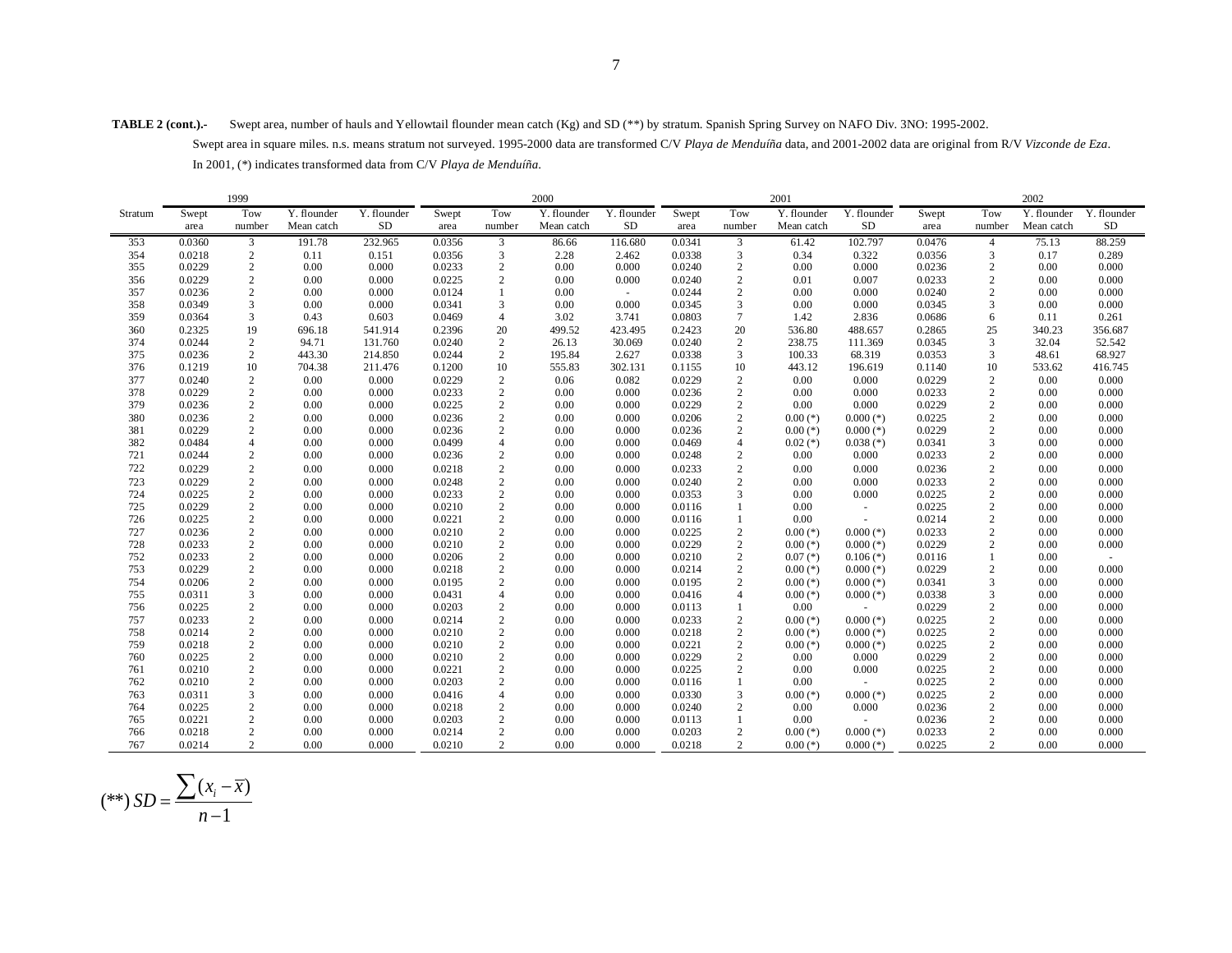**TABLE 2 (cont.).-** Swept area, number of hauls and Yellowtail flounder mean catch (Kg) and SD (\*\*) by stratum. Spanish Spring Survey on NAFO Div. 3NO: 1995-2002. Swept area in square miles. n.s. means stratum not surveyed. 1995-2000 data are transformed C/V *Playa de Menduíña* data, and 2001-2002 data are original from R/V *Vizconde de Eza*. In 2001, (\*) indicates transformed data from C/V *Playa de Menduíña*.

|         |        | 1999           |             |             |        |                | 2000        |             |        |                  | 2001        |             | 2002   |                |             |             |
|---------|--------|----------------|-------------|-------------|--------|----------------|-------------|-------------|--------|------------------|-------------|-------------|--------|----------------|-------------|-------------|
| Stratum | Swept  | Tow            | Y. flounder | Y. flounder | Swept  | Tow            | Y. flounder | Y. flounder | Swept  | Tow              | Y. flounder | Y. flounder | Swept  | Tow            | Y. flounder | Y. flounder |
|         | area   | number         | Mean catch  | <b>SD</b>   | area   | number         | Mean catch  | SD          | area   | number           | Mean catch  | SD          | area   | number         | Mean catch  | <b>SD</b>   |
| 353     | 0.0360 | 3              | 191.78      | 232.965     | 0.0356 | 3              | 86.66       | 116.680     | 0.0341 | 3                | 61.42       | 102.797     | 0.0476 | $\overline{4}$ | 75.13       | 88.259      |
| 354     | 0.0218 | $\sqrt{2}$     | 0.11        | 0.151       | 0.0356 | 3              | 2.28        | 2.462       | 0.0338 | 3                | 0.34        | 0.322       | 0.0356 | 3              | 0.17        | 0.289       |
| 355     | 0.0229 | $\overline{c}$ | 0.00        | 0.000       | 0.0233 | $\overline{2}$ | 0.00        | 0.000       | 0.0240 | $\sqrt{2}$       | 0.00        | 0.000       | 0.0236 | 2              | 0.00        | 0.000       |
| 356     | 0.0229 | $\sqrt{2}$     | 0.00        | 0.000       | 0.0225 | $\overline{2}$ | 0.00        | 0.000       | 0.0240 | $\sqrt{2}$       | 0.01        | 0.007       | 0.0233 | $\overline{2}$ | 0.00        | 0.000       |
| 357     | 0.0236 | $\sqrt{2}$     | 0.00        | 0.000       | 0.0124 | $\mathbf{1}$   | 0.00        | $\sim$      | 0.0244 | $\sqrt{2}$       | 0.00        | 0.000       | 0.0240 | $\overline{2}$ | 0.00        | 0.000       |
| 358     | 0.0349 | 3              | 0.00        | 0.000       | 0.0341 | 3              | 0.00        | 0.000       | 0.0345 | 3                | 0.00        | 0.000       | 0.0345 | 3              | 0.00        | 0.000       |
| 359     | 0.0364 | 3              | 0.43        | 0.603       | 0.0469 | $\overline{4}$ | 3.02        | 3.741       | 0.0803 | $\tau$           | 1.42        | 2.836       | 0.0686 | 6              | 0.11        | 0.261       |
| 360     | 0.2325 | 19             | 696.18      | 541.914     | 0.2396 | 20             | 499.52      | 423.495     | 0.2423 | 20               | 536.80      | 488.657     | 0.2865 | 25             | 340.23      | 356.687     |
| 374     | 0.0244 | $\overline{c}$ | 94.71       | 131.760     | 0.0240 | $\overline{2}$ | 26.13       | 30.069      | 0.0240 | $\overline{c}$   | 238.75      | 111.369     | 0.0345 | 3              | 32.04       | 52.542      |
| 375     | 0.0236 | $\overline{c}$ | 443.30      | 214.850     | 0.0244 | 2              | 195.84      | 2.627       | 0.0338 | 3                | 100.33      | 68.319      | 0.0353 | 3              | 48.61       | 68.927      |
| 376     | 0.1219 | 10             | 704.38      | 211.476     | 0.1200 | 10             | 555.83      | 302.131     | 0.1155 | 10               | 443.12      | 196.619     | 0.1140 | 10             | 533.62      | 416.745     |
| 377     | 0.0240 | $\sqrt{2}$     | 0.00        | 0.000       | 0.0229 | $\overline{c}$ | 0.06        | 0.082       | 0.0229 | $\boldsymbol{2}$ | 0.00        | 0.000       | 0.0229 | 2              | 0.00        | 0.000       |
| 378     | 0.0229 | $\sqrt{2}$     | 0.00        | 0.000       | 0.0233 | $\sqrt{2}$     | 0.00        | 0.000       | 0.0236 | $\sqrt{2}$       | 0.00        | 0.000       | 0.0233 | $\sqrt{2}$     | 0.00        | 0.000       |
| 379     | 0.0236 | $\sqrt{2}$     | 0.00        | 0.000       | 0.0225 | $\overline{c}$ | 0.00        | 0.000       | 0.0229 | $\sqrt{2}$       | 0.00        | 0.000       | 0.0229 | $\overline{2}$ | 0.00        | 0.000       |
| 380     | 0.0236 | $\sqrt{2}$     | 0.00        | 0.000       | 0.0236 | $\overline{2}$ | 0.00        | 0.000       | 0.0206 | $\sqrt{2}$       | $0.00$ (*)  | $0.000$ (*) | 0.0225 | $\overline{2}$ | 0.00        | 0.000       |
| 381     | 0.0229 | $\overline{c}$ | 0.00        | 0.000       | 0.0236 | $\overline{2}$ | 0.00        | 0.000       | 0.0236 | $\boldsymbol{2}$ | $0.00$ (*)  | $0.000$ (*) | 0.0229 | $\overline{c}$ | 0.00        | 0.000       |
| 382     | 0.0484 | $\overline{4}$ | 0.00        | 0.000       | 0.0499 | $\overline{4}$ | 0.00        | 0.000       | 0.0469 | $\overline{4}$   | $0.02$ (*)  | $0.038$ (*) | 0.0341 | 3              | 0.00        | 0.000       |
| 721     | 0.0244 | $\overline{c}$ | 0.00        | 0.000       | 0.0236 | $\overline{2}$ | 0.00        | 0.000       | 0.0248 | $\overline{c}$   | 0.00        | 0.000       | 0.0233 | $\overline{2}$ | 0.00        | 0.000       |
| 722     | 0.0229 | $\sqrt{2}$     | 0.00        | 0.000       | 0.0218 | $\overline{c}$ | 0.00        | 0.000       | 0.0233 | $\sqrt{2}$       | 0.00        | 0.000       | 0.0236 | $\overline{c}$ | 0.00        | 0.000       |
| 723     | 0.0229 | $\sqrt{2}$     | 0.00        | 0.000       | 0.0248 | $\overline{2}$ | 0.00        | 0.000       | 0.0240 | $\sqrt{2}$       | 0.00        | 0.000       | 0.0233 | $\overline{c}$ | 0.00        | 0.000       |
| 724     | 0.0225 | $\overline{c}$ | 0.00        | 0.000       | 0.0233 | $\overline{2}$ | 0.00        | 0.000       | 0.0353 | 3                | 0.00        | 0.000       | 0.0225 | $\overline{c}$ | 0.00        | 0.000       |
| 725     | 0.0229 | $\sqrt{2}$     | 0.00        | 0.000       | 0.0210 | $\overline{2}$ | 0.00        | 0.000       | 0.0116 | $\mathbf{1}$     | 0.00        |             | 0.0225 | $\overline{c}$ | 0.00        | 0.000       |
| 726     | 0.0225 | $\sqrt{2}$     | 0.00        | 0.000       | 0.0221 | $\overline{2}$ | 0.00        | 0.000       | 0.0116 | $\overline{1}$   | 0.00        |             | 0.0214 | $\overline{2}$ | 0.00        | 0.000       |
| 727     | 0.0236 | $\overline{c}$ | 0.00        | 0.000       | 0.0210 | $\sqrt{2}$     | 0.00        | 0.000       | 0.0225 | $\boldsymbol{2}$ | $0.00$ (*)  | $0.000$ (*) | 0.0233 | 2              | 0.00        | 0.000       |
| 728     | 0.0233 | $\overline{c}$ | 0.00        | 0.000       | 0.0210 | $\overline{2}$ | 0.00        | 0.000       | 0.0229 | $\sqrt{2}$       | $0.00$ (*)  | $0.000$ (*) | 0.0229 | $\overline{c}$ | 0.00        | 0.000       |
| 752     | 0.0233 | $\sqrt{2}$     | 0.00        | 0.000       | 0.0206 | $\overline{c}$ | 0.00        | 0.000       | 0.0210 | $\sqrt{2}$       | $0.07$ (*)  | $0.106$ (*) | 0.0116 |                | 0.00        |             |
| 753     | 0.0229 | $\overline{c}$ | 0.00        | 0.000       | 0.0218 | $\overline{2}$ | 0.00        | 0.000       | 0.0214 | $\boldsymbol{2}$ | $0.00$ (*)  | $0.000$ (*) | 0.0229 | $\overline{2}$ | 0.00        | 0.000       |
| 754     | 0.0206 | $\overline{c}$ | 0.00        | 0.000       | 0.0195 | $\overline{2}$ | 0.00        | 0.000       | 0.0195 | $\boldsymbol{2}$ | $0.00$ (*)  | $0.000$ (*) | 0.0341 | 3              | 0.00        | 0.000       |
| 755     | 0.0311 | $\overline{3}$ | 0.00        | 0.000       | 0.0431 | $\overline{4}$ | 0.00        | 0.000       | 0.0416 | $\overline{4}$   | $0.00$ (*)  | $0.000$ (*) | 0.0338 | 3              | 0.00        | 0.000       |
| 756     | 0.0225 | $\sqrt{2}$     | 0.00        | 0.000       | 0.0203 | $\overline{2}$ | 0.00        | 0.000       | 0.0113 | $\mathbf{1}$     | 0.00        |             | 0.0229 | $\overline{2}$ | 0.00        | 0.000       |
| 757     | 0.0233 | $\overline{c}$ | 0.00        | 0.000       | 0.0214 | $\overline{2}$ | 0.00        | 0.000       | 0.0233 | $\overline{c}$   | $0.00$ (*)  | $0.000$ (*) | 0.0225 | $\overline{c}$ | 0.00        | 0.000       |
| 758     | 0.0214 | $\sqrt{2}$     | 0.00        | 0.000       | 0.0210 | $\overline{2}$ | 0.00        | 0.000       | 0.0218 | $\overline{2}$   | $0.00$ (*)  | $0.000$ (*) | 0.0225 | $\sqrt{2}$     | 0.00        | 0.000       |
| 759     | 0.0218 | $\sqrt{2}$     | 0.00        | 0.000       | 0.0210 | $\overline{c}$ | 0.00        | 0.000       | 0.0221 | $\sqrt{2}$       | $0.00$ (*)  | $0.000$ (*) | 0.0225 | $\overline{2}$ | 0.00        | 0.000       |
| 760     | 0.0225 | $\overline{c}$ | 0.00        | 0.000       | 0.0210 | $\overline{2}$ | 0.00        | 0.000       | 0.0229 | $\overline{c}$   | 0.00        | 0.000       | 0.0229 | $\overline{c}$ | 0.00        | 0.000       |
| 761     | 0.0210 | $\sqrt{2}$     | 0.00        | 0.000       | 0.0221 | $\overline{c}$ | 0.00        | 0.000       | 0.0225 | $\sqrt{2}$       | 0.00        | 0.000       | 0.0225 | $\sqrt{2}$     | 0.00        | 0.000       |
| 762     | 0.0210 | $\sqrt{2}$     | 0.00        | 0.000       | 0.0203 | $\overline{2}$ | 0.00        | 0.000       | 0.0116 | $\mathbf{1}$     | 0.00        |             | 0.0225 | $\overline{c}$ | 0.00        | 0.000       |
| 763     | 0.0311 | 3              | 0.00        | 0.000       | 0.0416 | $\overline{4}$ | 0.00        | 0.000       | 0.0330 | 3                | $0.00$ (*)  | $0.000$ (*) | 0.0225 | $\overline{c}$ | 0.00        | 0.000       |
| 764     | 0.0225 | $\sqrt{2}$     | 0.00        | 0.000       | 0.0218 | $\overline{c}$ | 0.00        | 0.000       | 0.0240 | $\sqrt{2}$       | 0.00        | 0.000       | 0.0236 | $\overline{c}$ | 0.00        | 0.000       |
| 765     | 0.0221 | $\sqrt{2}$     | 0.00        | 0.000       | 0.0203 | $\overline{2}$ | 0.00        | 0.000       | 0.0113 | $\mathbf{1}$     | 0.00        |             | 0.0236 | $\overline{c}$ | 0.00        | 0.000       |
| 766     | 0.0218 | $\overline{c}$ | 0.00        | 0.000       | 0.0214 | $\overline{2}$ | 0.00        | 0.000       | 0.0203 | $\sqrt{2}$       | $0.00$ (*)  | $0.000$ (*) | 0.0233 | 2              | 0.00        | 0.000       |
| 767     | 0.0214 | $\overline{c}$ | 0.00        | 0.000       | 0.0210 | 2              | 0.00        | 0.000       | 0.0218 | 2                | $0.00$ (*)  | $0.000$ (*) | 0.0225 | 2              | 0.00        | 0.000       |

$$
(**) SD = \frac{\sum (x_i - \overline{x})}{n - 1}
$$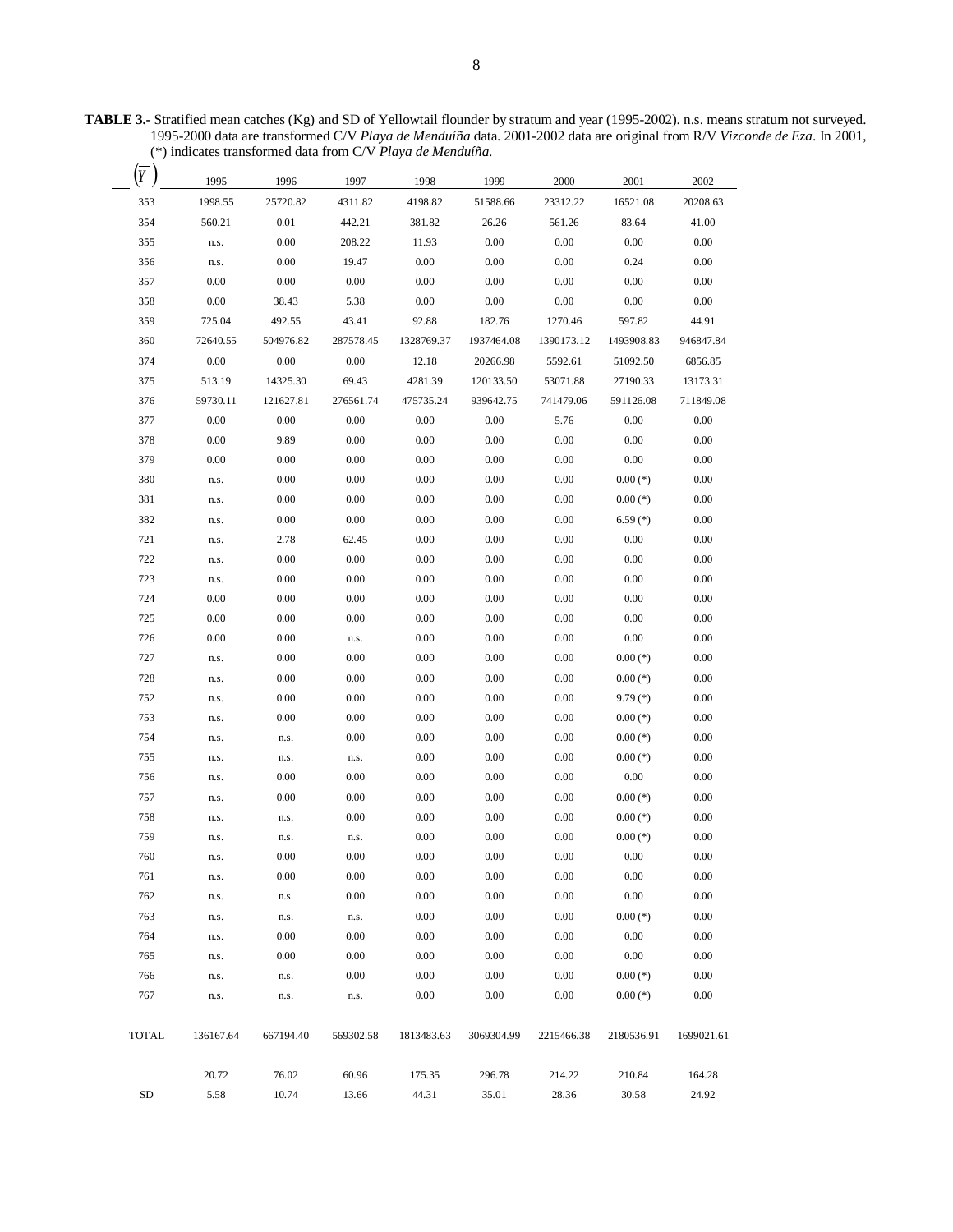**TABLE 3.-** Stratified mean catches (Kg) and SD of Yellowtail flounder by stratum and year (1995-2002). n.s. means stratum not surveyed. 1995-2000 data are transformed C/V *Playa de Menduíña* data. 2001-2002 data are original from R/V *Vizconde de Eza*. In 2001, (\*) indicates transformed data from C/V *Playa de Menduíña*.

| Y            | 1995      | 1996      | 1997      | 1998       | 1999       | 2000       | 2001       | 2002       |
|--------------|-----------|-----------|-----------|------------|------------|------------|------------|------------|
| 353          | 1998.55   | 25720.82  | 4311.82   | 4198.82    | 51588.66   | 23312.22   | 16521.08   | 20208.63   |
| 354          | 560.21    | 0.01      | 442.21    | 381.82     | 26.26      | 561.26     | 83.64      | 41.00      |
| 355          | n.s.      | 0.00      | 208.22    | 11.93      | 0.00       | 0.00       | 0.00       | 0.00       |
| 356          | n.s.      | 0.00      | 19.47     | 0.00       | 0.00       | 0.00       | 0.24       | 0.00       |
| 357          | 0.00      | 0.00      | 0.00      | 0.00       | 0.00       | 0.00       | 0.00       | 0.00       |
| 358          | 0.00      | 38.43     | 5.38      | 0.00       | 0.00       | 0.00       | 0.00       | $0.00\,$   |
| 359          | 725.04    | 492.55    | 43.41     | 92.88      | 182.76     | 1270.46    | 597.82     | 44.91      |
| 360          | 72640.55  | 504976.82 | 287578.45 | 1328769.37 | 1937464.08 | 1390173.12 | 1493908.83 | 946847.84  |
| 374          | 0.00      | 0.00      | 0.00      | 12.18      | 20266.98   | 5592.61    | 51092.50   | 6856.85    |
| 375          | 513.19    | 14325.30  | 69.43     | 4281.39    | 120133.50  | 53071.88   | 27190.33   | 13173.31   |
| 376          | 59730.11  | 121627.81 | 276561.74 | 475735.24  | 939642.75  | 741479.06  | 591126.08  | 711849.08  |
| 377          | 0.00      | 0.00      | 0.00      | 0.00       | 0.00       | 5.76       | 0.00       | 0.00       |
| 378          | 0.00      | 9.89      | 0.00      | 0.00       | 0.00       | 0.00       | 0.00       | 0.00       |
| 379          | 0.00      | 0.00      | 0.00      | 0.00       | 0.00       | 0.00       | 0.00       | 0.00       |
| 380          | n.s.      | 0.00      | 0.00      | 0.00       | 0.00       | 0.00       | $0.00$ (*) | 0.00       |
| 381          | n.s.      | 0.00      | 0.00      | 0.00       | 0.00       | 0.00       | $0.00$ (*) | 0.00       |
| 382          | n.s.      | 0.00      | 0.00      | $0.00\,$   | 0.00       | 0.00       | $6.59(*)$  | 0.00       |
| 721          | n.s.      | 2.78      | 62.45     | 0.00       | 0.00       | 0.00       | 0.00       | 0.00       |
| 722          | n.s.      | 0.00      | 0.00      | 0.00       | 0.00       | 0.00       | 0.00       | 0.00       |
| 723          | n.s.      | 0.00      | 0.00      | 0.00       | 0.00       | 0.00       | 0.00       | 0.00       |
| 724          | 0.00      | 0.00      | 0.00      | 0.00       | 0.00       | 0.00       | 0.00       | 0.00       |
| 725          | 0.00      | 0.00      | 0.00      | 0.00       | 0.00       | 0.00       | 0.00       | 0.00       |
| 726          | 0.00      | 0.00      | n.s.      | 0.00       | 0.00       | 0.00       | 0.00       | 0.00       |
| 727          | n.s.      | 0.00      | 0.00      | 0.00       | 0.00       | 0.00       | $0.00$ (*) | 0.00       |
| 728          | n.s.      | 0.00      | 0.00      | 0.00       | 0.00       | 0.00       | $0.00$ (*) | 0.00       |
| 752          | n.s.      | 0.00      | 0.00      | 0.00       | 0.00       | 0.00       | $9.79(*)$  | 0.00       |
| 753          | n.s.      | 0.00      | 0.00      | 0.00       | 0.00       | 0.00       | $0.00$ (*) | 0.00       |
| 754          | n.s.      | n.s.      | 0.00      | 0.00       | 0.00       | 0.00       | $0.00$ (*) | 0.00       |
| 755          | n.s.      | n.s.      | n.s.      | 0.00       | 0.00       | 0.00       | $0.00$ (*) | 0.00       |
| 756          | n.s.      | 0.00      | 0.00      | 0.00       | 0.00       | 0.00       | 0.00       | 0.00       |
| 757          | n.s.      | 0.00      | 0.00      | 0.00       | 0.00       | 0.00       | $0.00$ (*) | 0.00       |
| 758          | n.s.      | n.s.      | 0.00      | 0.00       | 0.00       | 0.00       | $0.00$ (*) | 0.00       |
| 759          | n.s.      | n.s.      | n.s.      | 0.00       | 0.00       | 0.00       | $0.00$ (*) | 0.00       |
| 760          | n.s.      | $0.00\,$  | 0.00      | 0.00       | $0.00\,$   | $0.00\,$   | 0.00       | $0.00\,$   |
| 761          | n.s.      | 0.00      | 0.00      | 0.00       | 0.00       | 0.00       | 0.00       | 0.00       |
| 762          | n.s.      | n.s.      | 0.00      | $0.00\,$   | 0.00       | 0.00       | 0.00       | 0.00       |
| 763          | n.s.      | n.s.      | n.s.      | 0.00       | 0.00       | 0.00       | $0.00$ (*) | 0.00       |
| 764          | n.s.      | 0.00      | 0.00      | $0.00\,$   | $0.00\,$   | 0.00       | 0.00       | 0.00       |
| 765          | n.s.      | 0.00      | 0.00      | $0.00\,$   | 0.00       | 0.00       | 0.00       | 0.00       |
| 766          | n.s.      | n.s.      | 0.00      | $0.00\,$   | 0.00       | 0.00       | $0.00$ (*) | 0.00       |
| 767          | n.s.      | n.s.      | n.s.      | $0.00\,$   | $0.00\,$   | 0.00       | $0.00$ (*) | 0.00       |
| <b>TOTAL</b> | 136167.64 | 667194.40 | 569302.58 | 1813483.63 | 3069304.99 | 2215466.38 | 2180536.91 | 1699021.61 |
|              | 20.72     | 76.02     | 60.96     | 175.35     | 296.78     | 214.22     | 210.84     | 164.28     |
| SD           | 5.58      | 10.74     | 13.66     | 44.31      | 35.01      | 28.36      | 30.58      | 24.92      |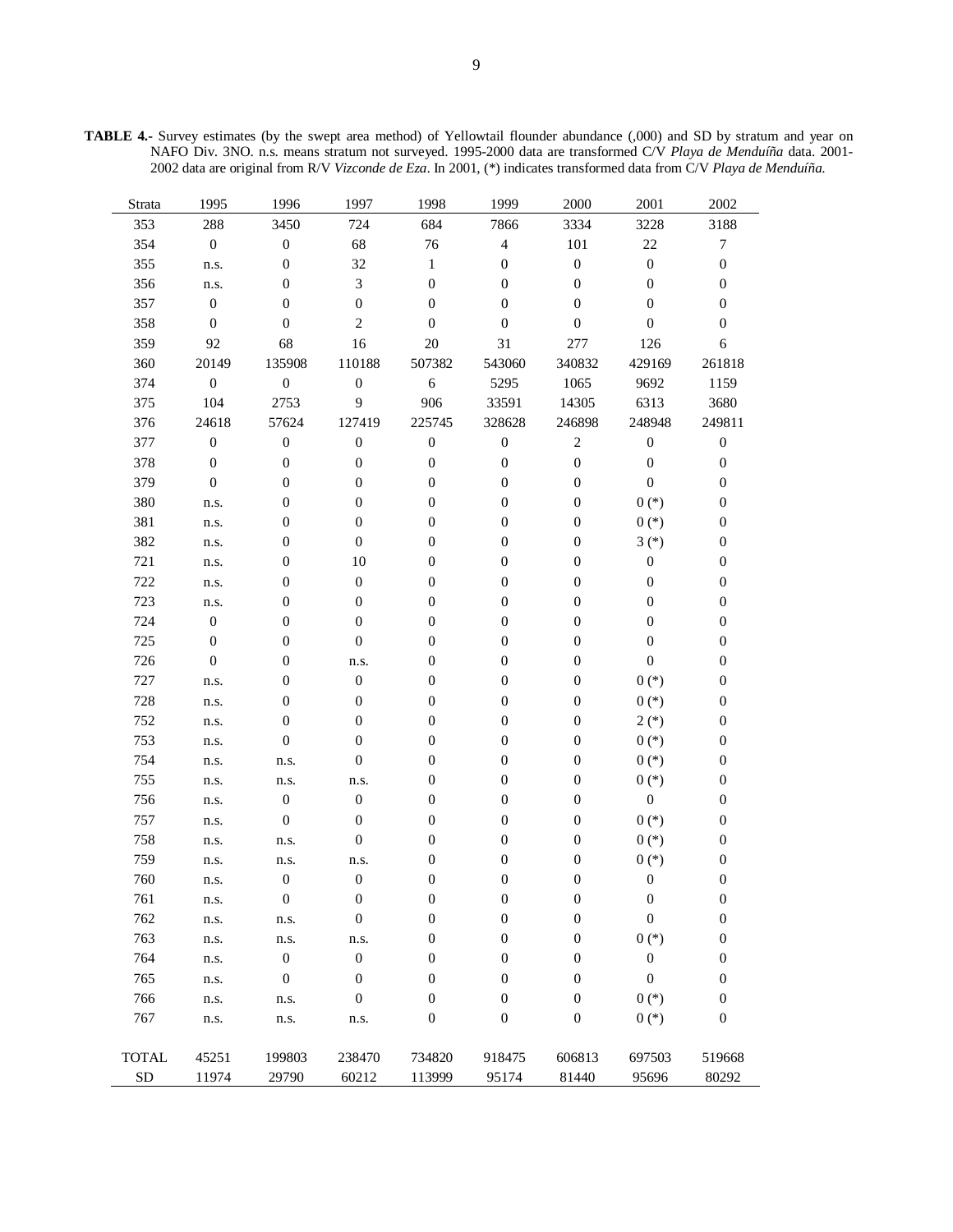**TABLE 4.-** Survey estimates (by the swept area method) of Yellowtail flounder abundance (,000) and SD by stratum and year on NAFO Div. 3NO. n.s. means stratum not surveyed. 1995-2000 data are transformed C/V *Playa de Menduíña* data. 2001- 2002 data are original from R/V *Vizconde de Eza*. In 2001, (\*) indicates transformed data from C/V *Playa de Menduíña*.

| Strata       | 1995             | 1996             | 1997             | 1998             | 1999             | 2000             | 2001             | 2002             |
|--------------|------------------|------------------|------------------|------------------|------------------|------------------|------------------|------------------|
| 353          | 288              | 3450             | 724              | 684              | 7866             | 3334             | 3228             | 3188             |
| 354          | $\boldsymbol{0}$ | $\boldsymbol{0}$ | 68               | 76               | $\overline{4}$   | 101              | $22\,$           | $\boldsymbol{7}$ |
| 355          | n.s.             | $\boldsymbol{0}$ | 32               | $\mathbf{1}$     | $\boldsymbol{0}$ | $\boldsymbol{0}$ | $\boldsymbol{0}$ | $\boldsymbol{0}$ |
| 356          | n.s.             | $\boldsymbol{0}$ | $\mathfrak{Z}$   | $\boldsymbol{0}$ | $\boldsymbol{0}$ | $\boldsymbol{0}$ | $\boldsymbol{0}$ | $\boldsymbol{0}$ |
| 357          | $\boldsymbol{0}$ | $\boldsymbol{0}$ | $\boldsymbol{0}$ | $\mathbf{0}$     | $\boldsymbol{0}$ | $\boldsymbol{0}$ | $\boldsymbol{0}$ | $\boldsymbol{0}$ |
| 358          | $\boldsymbol{0}$ | $\boldsymbol{0}$ | $\overline{c}$   | $\mathbf{0}$     | $\boldsymbol{0}$ | $\boldsymbol{0}$ | $\boldsymbol{0}$ | $\boldsymbol{0}$ |
| 359          | 92               | 68               | 16               | $20\,$           | 31               | 277              | 126              | $\sqrt{6}$       |
| 360          | 20149            | 135908           | 110188           | 507382           | 543060           | 340832           | 429169           | 261818           |
| 374          | $\boldsymbol{0}$ | $\boldsymbol{0}$ | $\boldsymbol{0}$ | $\sqrt{6}$       | 5295             | 1065             | 9692             | 1159             |
| 375          | 104              | 2753             | 9                | 906              | 33591            | 14305            | 6313             | 3680             |
| 376          | 24618            | 57624            | 127419           | 225745           | 328628           | 246898           | 248948           | 249811           |
| 377          | $\boldsymbol{0}$ | $\boldsymbol{0}$ | $\boldsymbol{0}$ | $\boldsymbol{0}$ | $\boldsymbol{0}$ | $\sqrt{2}$       | $\boldsymbol{0}$ | $\boldsymbol{0}$ |
| 378          | $\boldsymbol{0}$ | $\boldsymbol{0}$ | $\boldsymbol{0}$ | $\boldsymbol{0}$ | $\boldsymbol{0}$ | $\boldsymbol{0}$ | $\boldsymbol{0}$ | $\boldsymbol{0}$ |
| 379          | $\boldsymbol{0}$ | $\boldsymbol{0}$ | $\boldsymbol{0}$ | $\boldsymbol{0}$ | $\boldsymbol{0}$ | $\boldsymbol{0}$ | $\boldsymbol{0}$ | $\boldsymbol{0}$ |
| 380          | n.s.             | $\boldsymbol{0}$ | $\boldsymbol{0}$ | $\boldsymbol{0}$ | $\boldsymbol{0}$ | $\boldsymbol{0}$ | $0(*)$           | $\boldsymbol{0}$ |
| 381          | n.s.             | $\boldsymbol{0}$ | $\boldsymbol{0}$ | $\boldsymbol{0}$ | $\boldsymbol{0}$ | $\boldsymbol{0}$ | $0(*)$           | $\boldsymbol{0}$ |
| 382          | n.s.             | $\boldsymbol{0}$ | $\boldsymbol{0}$ | $\boldsymbol{0}$ | $\boldsymbol{0}$ | $\boldsymbol{0}$ | $3(*)$           | $\boldsymbol{0}$ |
| 721          | n.s.             | $\boldsymbol{0}$ | 10               | $\boldsymbol{0}$ | $\boldsymbol{0}$ | $\boldsymbol{0}$ | $\boldsymbol{0}$ | $\boldsymbol{0}$ |
| 722          | n.s.             | $\boldsymbol{0}$ | $\boldsymbol{0}$ | $\boldsymbol{0}$ | $\boldsymbol{0}$ | $\boldsymbol{0}$ | $\boldsymbol{0}$ | $\boldsymbol{0}$ |
| 723          | n.s.             | $\boldsymbol{0}$ | $\boldsymbol{0}$ | $\boldsymbol{0}$ | $\boldsymbol{0}$ | $\boldsymbol{0}$ | $\boldsymbol{0}$ | $\boldsymbol{0}$ |
| 724          | $\boldsymbol{0}$ | $\boldsymbol{0}$ | $\boldsymbol{0}$ | $\boldsymbol{0}$ | $\boldsymbol{0}$ | $\boldsymbol{0}$ | $\boldsymbol{0}$ | $\boldsymbol{0}$ |
| 725          | $\boldsymbol{0}$ | $\boldsymbol{0}$ | $\boldsymbol{0}$ | $\boldsymbol{0}$ | $\boldsymbol{0}$ | $\boldsymbol{0}$ | $\boldsymbol{0}$ | $\boldsymbol{0}$ |
| 726          | $\boldsymbol{0}$ | $\boldsymbol{0}$ | n.s.             | $\boldsymbol{0}$ | $\boldsymbol{0}$ | $\boldsymbol{0}$ | $\boldsymbol{0}$ | $\boldsymbol{0}$ |
| 727          | n.s.             | $\boldsymbol{0}$ | $\boldsymbol{0}$ | $\boldsymbol{0}$ | $\boldsymbol{0}$ | $\boldsymbol{0}$ | $0(*)$           | $\boldsymbol{0}$ |
| 728          | n.s.             | $\boldsymbol{0}$ | $\boldsymbol{0}$ | $\boldsymbol{0}$ | $\boldsymbol{0}$ | $\boldsymbol{0}$ | $0(*)$           | $\boldsymbol{0}$ |
| 752          | n.s.             | $\boldsymbol{0}$ | $\boldsymbol{0}$ | $\boldsymbol{0}$ | $\boldsymbol{0}$ | $\boldsymbol{0}$ | $2(*)$           | $\boldsymbol{0}$ |
| 753          | n.s.             | $\boldsymbol{0}$ | $\boldsymbol{0}$ | $\boldsymbol{0}$ | $\boldsymbol{0}$ | $\boldsymbol{0}$ | $0(*)$           | $\boldsymbol{0}$ |
| 754          | n.s.             | n.s.             | $\boldsymbol{0}$ | $\boldsymbol{0}$ | $\boldsymbol{0}$ | $\boldsymbol{0}$ | $0(*)$           | $\boldsymbol{0}$ |
| 755          | n.s.             | n.s.             | n.s.             | $\boldsymbol{0}$ | $\boldsymbol{0}$ | $\boldsymbol{0}$ | $0(*)$           | $\boldsymbol{0}$ |
| 756          | n.s.             | $\boldsymbol{0}$ | $\boldsymbol{0}$ | $\boldsymbol{0}$ | $\boldsymbol{0}$ | $\boldsymbol{0}$ | $\boldsymbol{0}$ | $\boldsymbol{0}$ |
| 757          | n.s.             | $\boldsymbol{0}$ | $\boldsymbol{0}$ | $\boldsymbol{0}$ | $\boldsymbol{0}$ | $\boldsymbol{0}$ | $0(*)$           | $\boldsymbol{0}$ |
| 758          | n.s.             | n.s.             | $\boldsymbol{0}$ | $\boldsymbol{0}$ | $\boldsymbol{0}$ | $\boldsymbol{0}$ | $0(*)$           | $\boldsymbol{0}$ |
| 759          | n.s.             | n.s.             | n.s.             | $\boldsymbol{0}$ | $\boldsymbol{0}$ | $\boldsymbol{0}$ | $0(*)$           | $\boldsymbol{0}$ |
| 760          | n.s.             | $\boldsymbol{0}$ | $\boldsymbol{0}$ | $\boldsymbol{0}$ | $\boldsymbol{0}$ | $\boldsymbol{0}$ | $\boldsymbol{0}$ | $\boldsymbol{0}$ |
| 761          | n.s.             | $\boldsymbol{0}$ | $\boldsymbol{0}$ | $\boldsymbol{0}$ | $\boldsymbol{0}$ | $\boldsymbol{0}$ | $\boldsymbol{0}$ | $\boldsymbol{0}$ |
| 762          | n.s.             | n.s.             | $\boldsymbol{0}$ | $\boldsymbol{0}$ | $\boldsymbol{0}$ | $\boldsymbol{0}$ | $\boldsymbol{0}$ | $\boldsymbol{0}$ |
| 763          | n.s.             | n.s.             | n.s.             | $\boldsymbol{0}$ | $\boldsymbol{0}$ | $\boldsymbol{0}$ | $0 (*)$          | $\boldsymbol{0}$ |
| 764          | n.s.             | $\boldsymbol{0}$ | $\boldsymbol{0}$ | $\mathbf{0}$     | 0                | $\boldsymbol{0}$ | $\boldsymbol{0}$ | $\boldsymbol{0}$ |
| 765          | n.s.             | $\boldsymbol{0}$ | $\boldsymbol{0}$ | $\mathbf{0}$     | 0                | $\mathbf{0}$     | $\mathbf{0}$     | $\boldsymbol{0}$ |
| 766          | n.s.             | n.s.             | $\boldsymbol{0}$ | $\boldsymbol{0}$ | $\boldsymbol{0}$ | $\boldsymbol{0}$ | $0(*)$           | $\boldsymbol{0}$ |
| 767          | n.s.             | n.s.             | n.s.             | $\boldsymbol{0}$ | $\boldsymbol{0}$ | $\boldsymbol{0}$ | $0(*)$           | $\boldsymbol{0}$ |
|              |                  |                  |                  |                  |                  |                  |                  |                  |
| <b>TOTAL</b> | 45251            | 199803           | 238470           | 734820           | 918475           | 606813           | 697503           | 519668           |
| ${\rm SD}$   | 11974            | 29790            | 60212            | 113999           | 95174            | 81440            | 95696            | 80292            |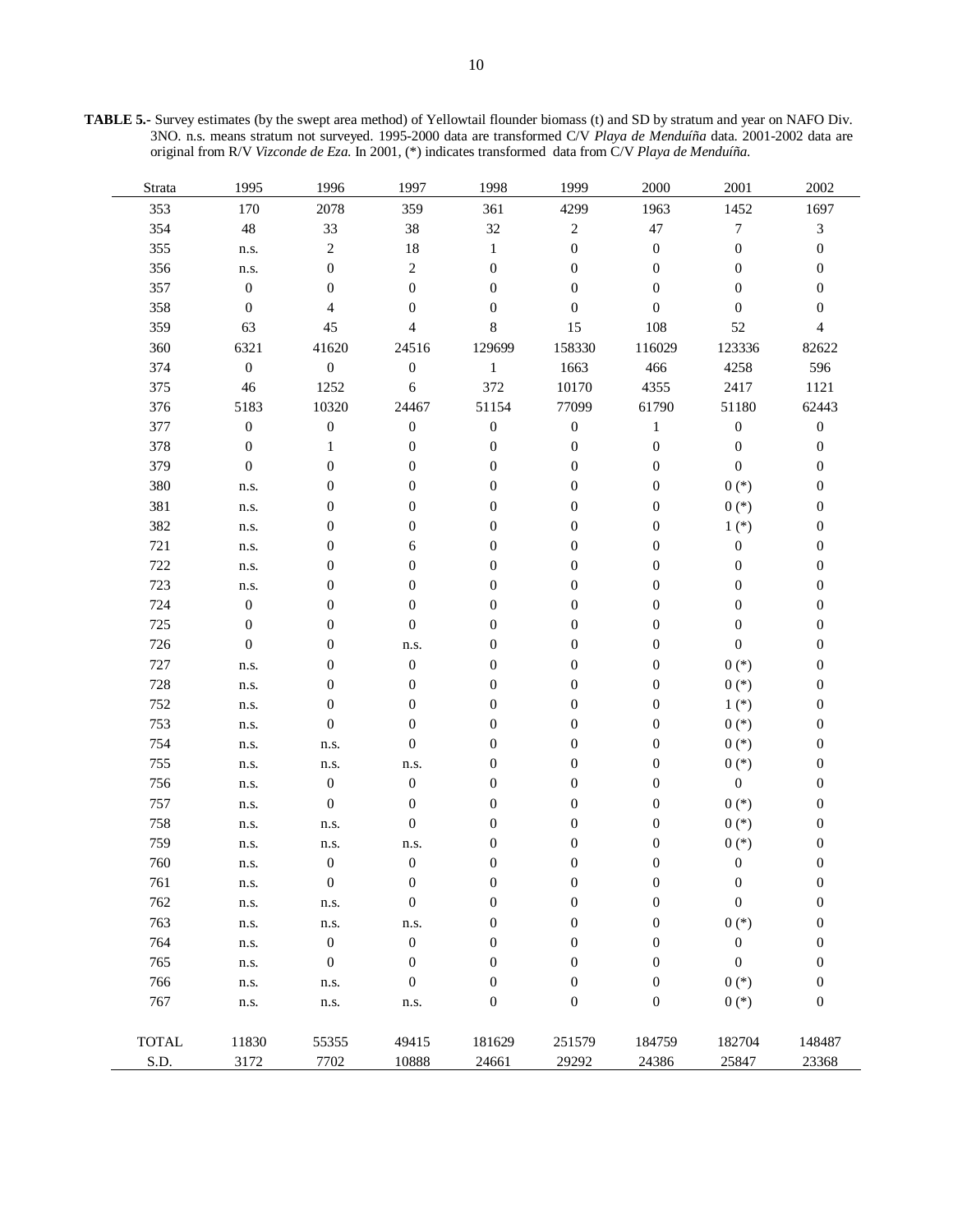**TABLE 5.-** Survey estimates (by the swept area method) of Yellowtail flounder biomass (t) and SD by stratum and year on NAFO Div. 3NO. n.s. means stratum not surveyed. 1995-2000 data are transformed C/V *Playa de Menduíña* data. 2001-2002 data are original from R/V *Vizconde de Eza*. In 2001, (\*) indicates transformed data from C/V *Playa de Menduíña*.

| Strata       | 1995             | 1996                     | 1997             | 1998             | 1999             | 2000             | 2001             | 2002             |
|--------------|------------------|--------------------------|------------------|------------------|------------------|------------------|------------------|------------------|
| 353          | 170              | 2078                     | 359              | 361              | 4299             | 1963             | 1452             | 1697             |
| 354          | $\sqrt{48}$      | 33                       | 38               | 32               | $\sqrt{2}$       | 47               | $\boldsymbol{7}$ | $\mathfrak{Z}$   |
| 355          | n.s.             | $\mathbf{2}$             | 18               | $\mathbf{1}$     | $\boldsymbol{0}$ | $\boldsymbol{0}$ | $\boldsymbol{0}$ | $\boldsymbol{0}$ |
| 356          | n.s.             | $\boldsymbol{0}$         | $\sqrt{2}$       | $\boldsymbol{0}$ | $\boldsymbol{0}$ | $\boldsymbol{0}$ | $\overline{0}$   | $\overline{0}$   |
| 357          | $\boldsymbol{0}$ | $\boldsymbol{0}$         | $\boldsymbol{0}$ | $\boldsymbol{0}$ | $\boldsymbol{0}$ | $\overline{0}$   | $\mathbf{0}$     | 0                |
| 358          | $\boldsymbol{0}$ | $\overline{\mathcal{A}}$ | $\boldsymbol{0}$ | $\boldsymbol{0}$ | $\boldsymbol{0}$ | $\overline{0}$   | $\overline{0}$   | $\overline{0}$   |
| 359          | 63               | 45                       | $\overline{4}$   | $\,8\,$          | 15               | 108              | 52               | $\overline{4}$   |
| 360          | 6321             | 41620                    | 24516            | 129699           | 158330           | 116029           | 123336           | 82622            |
| 374          | $\boldsymbol{0}$ | $\boldsymbol{0}$         | $\boldsymbol{0}$ | $\,1$            | 1663             | 466              | 4258             | 596              |
| 375          | 46               | 1252                     | $\sqrt{6}$       | 372              | 10170            | 4355             | 2417             | 1121             |
| 376          | 5183             | 10320                    | 24467            | 51154            | 77099            | 61790            | 51180            | 62443            |
| 377          | $\boldsymbol{0}$ | $\boldsymbol{0}$         | $\boldsymbol{0}$ | $\boldsymbol{0}$ | $\boldsymbol{0}$ | $\mathbf{1}$     | $\boldsymbol{0}$ | $\boldsymbol{0}$ |
| 378          | $\boldsymbol{0}$ | $\mathbf{1}$             | $\boldsymbol{0}$ | $\boldsymbol{0}$ | $\boldsymbol{0}$ | $\boldsymbol{0}$ | $\boldsymbol{0}$ | $\boldsymbol{0}$ |
| 379          | $\boldsymbol{0}$ | $\boldsymbol{0}$         | $\boldsymbol{0}$ | $\boldsymbol{0}$ | $\boldsymbol{0}$ | $\boldsymbol{0}$ | $\boldsymbol{0}$ | $\boldsymbol{0}$ |
| 380          | n.s.             | $\boldsymbol{0}$         | $\boldsymbol{0}$ | $\boldsymbol{0}$ | $\boldsymbol{0}$ | $\boldsymbol{0}$ | $0(*)$           | $\boldsymbol{0}$ |
| 381          | n.s.             | $\boldsymbol{0}$         | $\boldsymbol{0}$ | $\boldsymbol{0}$ | $\boldsymbol{0}$ | $\boldsymbol{0}$ | $0(*)$           | $\boldsymbol{0}$ |
| 382          | n.s.             | $\boldsymbol{0}$         | $\boldsymbol{0}$ | $\boldsymbol{0}$ | $\boldsymbol{0}$ | $\boldsymbol{0}$ | $1(*)$           | $\boldsymbol{0}$ |
| 721          | n.s.             | 0                        | $\sqrt{6}$       | $\boldsymbol{0}$ | $\boldsymbol{0}$ | $\boldsymbol{0}$ | $\boldsymbol{0}$ | $\boldsymbol{0}$ |
| 722          | n.s.             | 0                        | $\boldsymbol{0}$ | $\boldsymbol{0}$ | $\boldsymbol{0}$ | $\boldsymbol{0}$ | $\boldsymbol{0}$ | 0                |
| 723          | n.s.             | 0                        | $\boldsymbol{0}$ | $\boldsymbol{0}$ | $\boldsymbol{0}$ | $\boldsymbol{0}$ | $\overline{0}$   | $\overline{0}$   |
| 724          | $\boldsymbol{0}$ | 0                        | $\boldsymbol{0}$ | $\mathbf{0}$     | $\boldsymbol{0}$ | $\boldsymbol{0}$ | $\mathbf{0}$     | 0                |
| 725          | $\boldsymbol{0}$ | $\boldsymbol{0}$         | $\boldsymbol{0}$ | $\boldsymbol{0}$ | $\boldsymbol{0}$ | $\boldsymbol{0}$ | $\mathbf{0}$     | $\boldsymbol{0}$ |
| 726          | $\boldsymbol{0}$ | $\boldsymbol{0}$         | n.s.             | $\boldsymbol{0}$ | $\boldsymbol{0}$ | $\boldsymbol{0}$ | $\boldsymbol{0}$ | $\boldsymbol{0}$ |
| 727          | n.s.             | $\boldsymbol{0}$         | $\boldsymbol{0}$ | $\boldsymbol{0}$ | $\boldsymbol{0}$ | $\boldsymbol{0}$ | $0(*)$           | $\boldsymbol{0}$ |
| 728          | n.s.             | $\boldsymbol{0}$         | $\boldsymbol{0}$ | $\boldsymbol{0}$ | $\boldsymbol{0}$ | $\boldsymbol{0}$ | $0(*)$           | $\boldsymbol{0}$ |
| 752          | n.s.             | $\boldsymbol{0}$         | $\boldsymbol{0}$ | $\boldsymbol{0}$ | $\boldsymbol{0}$ | $\boldsymbol{0}$ | $1(*)$           | $\boldsymbol{0}$ |
| 753          | n.s.             | $\boldsymbol{0}$         | $\boldsymbol{0}$ | $\boldsymbol{0}$ | $\boldsymbol{0}$ | $\boldsymbol{0}$ | $0(*)$           | $\boldsymbol{0}$ |
| 754          | n.s.             | n.s.                     | $\boldsymbol{0}$ | $\boldsymbol{0}$ | $\boldsymbol{0}$ | $\boldsymbol{0}$ | $0(*)$           | 0                |
| 755          | n.s.             | n.s.                     | n.s.             | $\boldsymbol{0}$ | $\boldsymbol{0}$ | $\boldsymbol{0}$ | $0(*)$           | 0                |
| 756          | n.s.             | $\boldsymbol{0}$         | $\boldsymbol{0}$ | $\boldsymbol{0}$ | $\boldsymbol{0}$ | $\boldsymbol{0}$ | $\boldsymbol{0}$ | $\boldsymbol{0}$ |
| 757          | n.s.             | $\boldsymbol{0}$         | $\boldsymbol{0}$ | $\boldsymbol{0}$ | $\boldsymbol{0}$ | $\boldsymbol{0}$ | $0(*)$           | $\boldsymbol{0}$ |
| 758          | n.s.             | n.s.                     | $\boldsymbol{0}$ | $\boldsymbol{0}$ | $\boldsymbol{0}$ | $\boldsymbol{0}$ | $0(*)$           | $\boldsymbol{0}$ |
| 759          | n.s.             | n.s.                     | n.s.             | $\boldsymbol{0}$ | $\boldsymbol{0}$ | $\boldsymbol{0}$ | $0(*)$           | $\boldsymbol{0}$ |
| 760          | n.s.             | $\boldsymbol{0}$         | $\boldsymbol{0}$ | $\boldsymbol{0}$ | $\boldsymbol{0}$ | $\boldsymbol{0}$ | $\boldsymbol{0}$ | $\boldsymbol{0}$ |
| 761          | n.s.             | $\theta$                 | $\theta$         | $\theta$         | $\boldsymbol{0}$ | $\boldsymbol{0}$ | $\theta$         | $\theta$         |
| 762          | n.s.             | n.s.                     | $\boldsymbol{0}$ | $\boldsymbol{0}$ | $\boldsymbol{0}$ | $\boldsymbol{0}$ | $\boldsymbol{0}$ | $\overline{0}$   |
| 763          | n.s.             | n.s.                     | n.s.             | $\boldsymbol{0}$ | $\boldsymbol{0}$ | $\boldsymbol{0}$ | $0(*)$           | $\boldsymbol{0}$ |
| 764          | n.s.             | $\boldsymbol{0}$         | $\boldsymbol{0}$ | $\boldsymbol{0}$ | $\boldsymbol{0}$ | $\boldsymbol{0}$ | $\boldsymbol{0}$ | $\boldsymbol{0}$ |
| 765          | n.s.             | $\boldsymbol{0}$         | $\boldsymbol{0}$ | $\boldsymbol{0}$ | $\boldsymbol{0}$ | $\boldsymbol{0}$ | $\boldsymbol{0}$ | $\boldsymbol{0}$ |
| 766          | n.s.             | n.s.                     | $\boldsymbol{0}$ | $\boldsymbol{0}$ | $\boldsymbol{0}$ | $\boldsymbol{0}$ | $0(*)$           | $\boldsymbol{0}$ |
| 767          | n.s.             | ${\bf n}.{\bf s}.$       | n.s.             | $\boldsymbol{0}$ | $\boldsymbol{0}$ | $\boldsymbol{0}$ | $0(*)$           | $\boldsymbol{0}$ |
|              |                  |                          |                  |                  |                  |                  |                  |                  |
| <b>TOTAL</b> | 11830            | 55355                    | 49415            | 181629           | 251579           | 184759           | 182704           | 148487           |
| S.D.         | 3172             | 7702                     | 10888            | 24661            | 29292            | 24386            | 25847            | 23368            |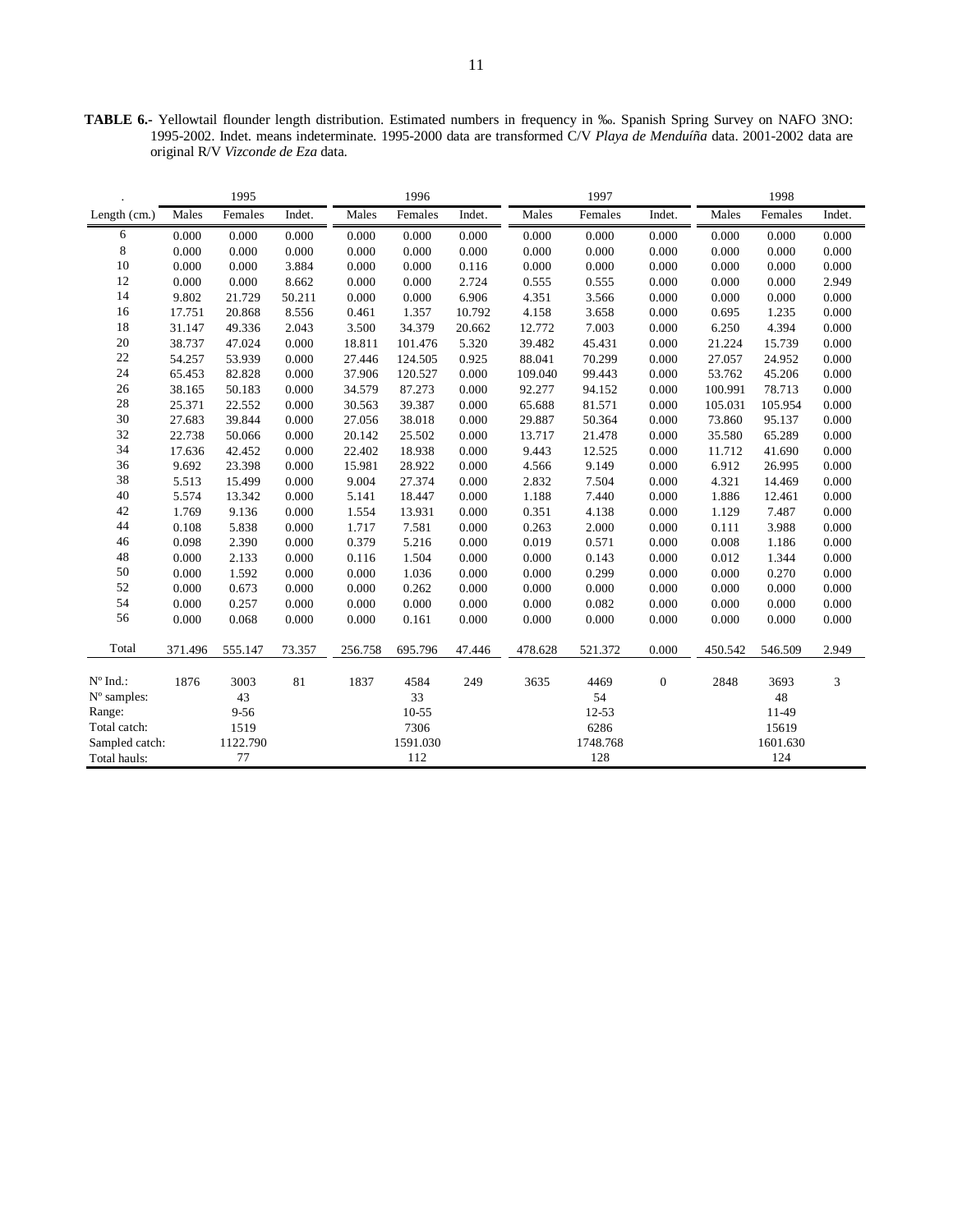**TABLE 6.-** Yellowtail flounder length distribution. Estimated numbers in frequency in ‰. Spanish Spring Survey on NAFO 3NO: 1995-2002. Indet. means indeterminate. 1995-2000 data are transformed C/V *Playa de Menduíña* data. 2001-2002 data are original R/V *Vizconde de Eza* data.

|                   |         |          | 1996   |         |          | 1997   |         | 1998     |                  |         |          |           |  |  |
|-------------------|---------|----------|--------|---------|----------|--------|---------|----------|------------------|---------|----------|-----------|--|--|
| Length $(cm.)$    | Males   | Females  | Indet. | Males   | Females  | Indet. | Males   | Females  | Indet.           | Males   | Females  | Indet.    |  |  |
| 6                 | 0.000   | 0.000    | 0.000  | 0.000   | 0.000    | 0.000  | 0.000   | 0.000    | 0.000            | 0.000   | 0.000    | 0.000     |  |  |
| 8                 | 0.000   | 0.000    | 0.000  | 0.000   | 0.000    | 0.000  | 0.000   | 0.000    | 0.000            | 0.000   | 0.000    | 0.000     |  |  |
| 10                | 0.000   | 0.000    | 3.884  | 0.000   | 0.000    | 0.116  | 0.000   | 0.000    | 0.000            | 0.000   | 0.000    | 0.000     |  |  |
| 12                | 0.000   | 0.000    | 8.662  | 0.000   | 0.000    | 2.724  | 0.555   | 0.555    | 0.000            | 0.000   | 0.000    | 2.949     |  |  |
| 14                | 9.802   | 21.729   | 50.211 | 0.000   | 0.000    | 6.906  | 4.351   | 3.566    | 0.000            | 0.000   | 0.000    | $0.000\,$ |  |  |
| 16                | 17.751  | 20.868   | 8.556  | 0.461   | 1.357    | 10.792 | 4.158   | 3.658    | 0.000            | 0.695   | 1.235    | 0.000     |  |  |
| 18                | 31.147  | 49.336   | 2.043  | 3.500   | 34.379   | 20.662 | 12.772  | 7.003    | 0.000            | 6.250   | 4.394    | 0.000     |  |  |
| 20                | 38.737  | 47.024   | 0.000  | 18.811  | 101.476  | 5.320  | 39.482  | 45.431   | 0.000            | 21.224  | 15.739   | 0.000     |  |  |
| 22                | 54.257  | 53.939   | 0.000  | 27.446  | 124.505  | 0.925  | 88.041  | 70.299   | 0.000            | 27.057  | 24.952   | 0.000     |  |  |
| 24                | 65.453  | 82.828   | 0.000  | 37.906  | 120.527  | 0.000  | 109.040 | 99.443   | 0.000            | 53.762  | 45.206   | 0.000     |  |  |
| 26                | 38.165  | 50.183   | 0.000  | 34.579  | 87.273   | 0.000  | 92.277  | 94.152   | 0.000            | 100.991 | 78.713   | 0.000     |  |  |
| 28                | 25.371  | 22.552   | 0.000  | 30.563  | 39.387   | 0.000  | 65.688  | 81.571   | 0.000            | 105.031 | 105.954  | 0.000     |  |  |
| 30                | 27.683  | 39.844   | 0.000  | 27.056  | 38.018   | 0.000  | 29.887  | 50.364   | 0.000            | 73.860  | 95.137   | 0.000     |  |  |
| 32                | 22.738  | 50.066   | 0.000  | 20.142  | 25.502   | 0.000  | 13.717  | 21.478   | 0.000            | 35.580  | 65.289   | 0.000     |  |  |
| 34                | 17.636  | 42.452   | 0.000  | 22.402  | 18.938   | 0.000  | 9.443   | 12.525   | 0.000            | 11.712  | 41.690   | 0.000     |  |  |
| 36                | 9.692   | 23.398   | 0.000  | 15.981  | 28.922   | 0.000  | 4.566   | 9.149    | 0.000            | 6.912   | 26.995   | 0.000     |  |  |
| 38                | 5.513   | 15.499   | 0.000  | 9.004   | 27.374   | 0.000  | 2.832   | 7.504    | 0.000            | 4.321   | 14.469   | 0.000     |  |  |
| 40                | 5.574   | 13.342   | 0.000  | 5.141   | 18.447   | 0.000  | 1.188   | 7.440    | 0.000            | 1.886   | 12.461   | 0.000     |  |  |
| 42                | 1.769   | 9.136    | 0.000  | 1.554   | 13.931   | 0.000  | 0.351   | 4.138    | 0.000            | 1.129   | 7.487    | 0.000     |  |  |
| 44                | 0.108   | 5.838    | 0.000  | 1.717   | 7.581    | 0.000  | 0.263   | 2.000    | 0.000            | 0.111   | 3.988    | 0.000     |  |  |
| 46                | 0.098   | 2.390    | 0.000  | 0.379   | 5.216    | 0.000  | 0.019   | 0.571    | 0.000            | 0.008   | 1.186    | 0.000     |  |  |
| 48                | 0.000   | 2.133    | 0.000  | 0.116   | 1.504    | 0.000  | 0.000   | 0.143    | 0.000            | 0.012   | 1.344    | 0.000     |  |  |
| 50                | 0.000   | 1.592    | 0.000  | 0.000   | 1.036    | 0.000  | 0.000   | 0.299    | 0.000            | 0.000   | 0.270    | 0.000     |  |  |
| 52                | 0.000   | 0.673    | 0.000  | 0.000   | 0.262    | 0.000  | 0.000   | 0.000    | 0.000            | 0.000   | 0.000    | 0.000     |  |  |
| 54                | 0.000   | 0.257    | 0.000  | 0.000   | 0.000    | 0.000  | 0.000   | 0.082    | 0.000            | 0.000   | 0.000    | 0.000     |  |  |
| 56                | 0.000   | 0.068    | 0.000  | 0.000   | 0.161    | 0.000  | 0.000   | 0.000    | 0.000            | 0.000   | 0.000    | 0.000     |  |  |
| Total             | 371.496 | 555.147  | 73.357 | 256.758 | 695.796  | 47.446 | 478.628 | 521.372  | 0.000            | 450.542 | 546.509  | 2.949     |  |  |
| $N^{\circ}$ Ind.: | 1876    | 3003     | 81     | 1837    | 4584     | 249    | 3635    | 4469     | $\boldsymbol{0}$ | 2848    | 3693     | 3         |  |  |
| N° samples:       |         | 43       |        |         | 33       |        |         | 54       |                  |         | 48       |           |  |  |
| Range:            |         | $9 - 56$ |        |         | 10-55    |        |         | 12-53    |                  | 11-49   |          |           |  |  |
| Total catch:      |         | 1519     |        |         | 7306     |        |         | 6286     |                  |         | 15619    |           |  |  |
| Sampled catch:    |         | 1122.790 |        |         | 1591.030 |        |         | 1748.768 |                  |         | 1601.630 |           |  |  |
| Total hauls:      |         | 77       |        |         | 112      |        |         | 128      |                  |         | 124      |           |  |  |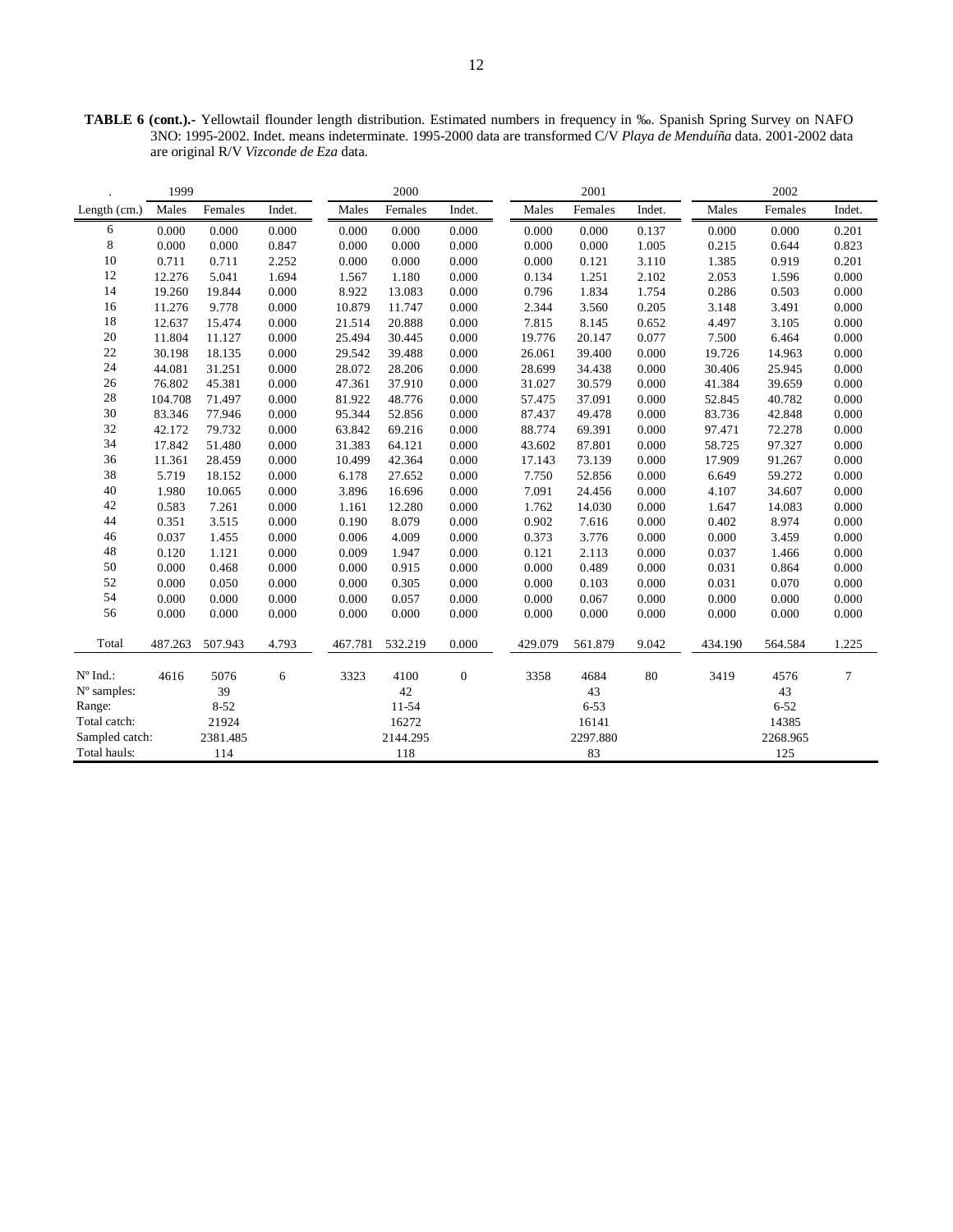**TABLE 6 (cont.).-** Yellowtail flounder length distribution. Estimated numbers in frequency in ‰. Spanish Spring Survey on NAFO 3NO: 1995-2002. Indet. means indeterminate. 1995-2000 data are transformed C/V *Playa de Menduíña* data. 2001-2002 data are original R/V *Vizconde de Eza* data.

|                   | 1999    |          |        |         | 2000     |                  |         | 2001     |        |         | 2002     |        |  |
|-------------------|---------|----------|--------|---------|----------|------------------|---------|----------|--------|---------|----------|--------|--|
| Length (cm.)      | Males   | Females  | Indet. | Males   | Females  | Indet.           | Males   | Females  | Indet. | Males   | Females  | Indet. |  |
| 6                 | 0.000   | 0.000    | 0.000  | 0.000   | 0.000    | 0.000            | 0.000   | 0.000    | 0.137  | 0.000   | 0.000    | 0.201  |  |
| 8                 | 0.000   | 0.000    | 0.847  | 0.000   | 0.000    | 0.000            | 0.000   | 0.000    | 1.005  | 0.215   | 0.644    | 0.823  |  |
| $10\,$            | 0.711   | 0.711    | 2.252  | 0.000   | 0.000    | 0.000            | 0.000   | 0.121    | 3.110  | 1.385   | 0.919    | 0.201  |  |
| 12                | 12.276  | 5.041    | 1.694  | 1.567   | 1.180    | 0.000            | 0.134   | 1.251    | 2.102  | 2.053   | 1.596    | 0.000  |  |
| 14                | 19.260  | 19.844   | 0.000  | 8.922   | 13.083   | 0.000            | 0.796   | 1.834    | 1.754  | 0.286   | 0.503    | 0.000  |  |
| 16                | 11.276  | 9.778    | 0.000  | 10.879  | 11.747   | 0.000            | 2.344   | 3.560    | 0.205  | 3.148   | 3.491    | 0.000  |  |
| 18                | 12.637  | 15.474   | 0.000  | 21.514  | 20.888   | 0.000            | 7.815   | 8.145    | 0.652  | 4.497   | 3.105    | 0.000  |  |
| 20                | 11.804  | 11.127   | 0.000  | 25.494  | 30.445   | 0.000            | 19.776  | 20.147   | 0.077  | 7.500   | 6.464    | 0.000  |  |
| 22                | 30.198  | 18.135   | 0.000  | 29.542  | 39.488   | 0.000            | 26.061  | 39.400   | 0.000  | 19.726  | 14.963   | 0.000  |  |
| 24                | 44.081  | 31.251   | 0.000  | 28.072  | 28.206   | 0.000            | 28.699  | 34.438   | 0.000  | 30.406  | 25.945   | 0.000  |  |
| 26                | 76.802  | 45.381   | 0.000  | 47.361  | 37.910   | 0.000            | 31.027  | 30.579   | 0.000  | 41.384  | 39.659   | 0.000  |  |
| 28                | 104.708 | 71.497   | 0.000  | 81.922  | 48.776   | 0.000            | 57.475  | 37.091   | 0.000  | 52.845  | 40.782   | 0.000  |  |
| 30                | 83.346  | 77.946   | 0.000  | 95.344  | 52.856   | 0.000            | 87.437  | 49.478   | 0.000  | 83.736  | 42.848   | 0.000  |  |
| 32                | 42.172  | 79.732   | 0.000  | 63.842  | 69.216   | 0.000            | 88.774  | 69.391   | 0.000  | 97.471  | 72.278   | 0.000  |  |
| 34                | 17.842  | 51.480   | 0.000  | 31.383  | 64.121   | 0.000            | 43.602  | 87.801   | 0.000  | 58.725  | 97.327   | 0.000  |  |
| 36                | 11.361  | 28.459   | 0.000  | 10.499  | 42.364   | 0.000            | 17.143  | 73.139   | 0.000  | 17.909  | 91.267   | 0.000  |  |
| 38                | 5.719   | 18.152   | 0.000  | 6.178   | 27.652   | 0.000            | 7.750   | 52.856   | 0.000  | 6.649   | 59.272   | 0.000  |  |
| 40                | 1.980   | 10.065   | 0.000  | 3.896   | 16.696   | 0.000            | 7.091   | 24.456   | 0.000  | 4.107   | 34.607   | 0.000  |  |
| 42                | 0.583   | 7.261    | 0.000  | 1.161   | 12.280   | 0.000            | 1.762   | 14.030   | 0.000  | 1.647   | 14.083   | 0.000  |  |
| 44                | 0.351   | 3.515    | 0.000  | 0.190   | 8.079    | 0.000            | 0.902   | 7.616    | 0.000  | 0.402   | 8.974    | 0.000  |  |
| 46                | 0.037   | 1.455    | 0.000  | 0.006   | 4.009    | 0.000            | 0.373   | 3.776    | 0.000  | 0.000   | 3.459    | 0.000  |  |
| 48                | 0.120   | 1.121    | 0.000  | 0.009   | 1.947    | 0.000            | 0.121   | 2.113    | 0.000  | 0.037   | 1.466    | 0.000  |  |
| 50                | 0.000   | 0.468    | 0.000  | 0.000   | 0.915    | 0.000            | 0.000   | 0.489    | 0.000  | 0.031   | 0.864    | 0.000  |  |
| 52                | 0.000   | 0.050    | 0.000  | 0.000   | 0.305    | 0.000            | 0.000   | 0.103    | 0.000  | 0.031   | 0.070    | 0.000  |  |
| 54                | 0.000   | 0.000    | 0.000  | 0.000   | 0.057    | 0.000            | 0.000   | 0.067    | 0.000  | 0.000   | 0.000    | 0.000  |  |
| 56                | 0.000   | 0.000    | 0.000  | 0.000   | 0.000    | 0.000            | 0.000   | 0.000    | 0.000  | 0.000   | 0.000    | 0.000  |  |
| Total             | 487.263 | 507.943  | 4.793  | 467.781 | 532.219  | 0.000            | 429.079 | 561.879  | 9.042  | 434.190 | 564.584  | 1.225  |  |
| $N^{\circ}$ Ind.: | 4616    | 5076     | 6      | 3323    | 4100     | $\boldsymbol{0}$ | 3358    | 4684     | 80     | 3419    | 4576     | 7      |  |
| N° samples:       |         | 39       |        |         | 42       |                  |         | 43       |        |         | 43       |        |  |
| Range:            |         | $8 - 52$ |        |         | 11-54    |                  |         | $6 - 53$ |        |         | $6 - 52$ |        |  |
| Total catch:      |         | 21924    |        |         | 16272    |                  |         | 16141    |        |         | 14385    |        |  |
| Sampled catch:    |         | 2381.485 |        |         | 2144.295 |                  |         | 2297.880 |        |         | 2268.965 |        |  |
| Total hauls:      |         | 114      |        |         | 118      |                  |         | 83       |        |         | 125      |        |  |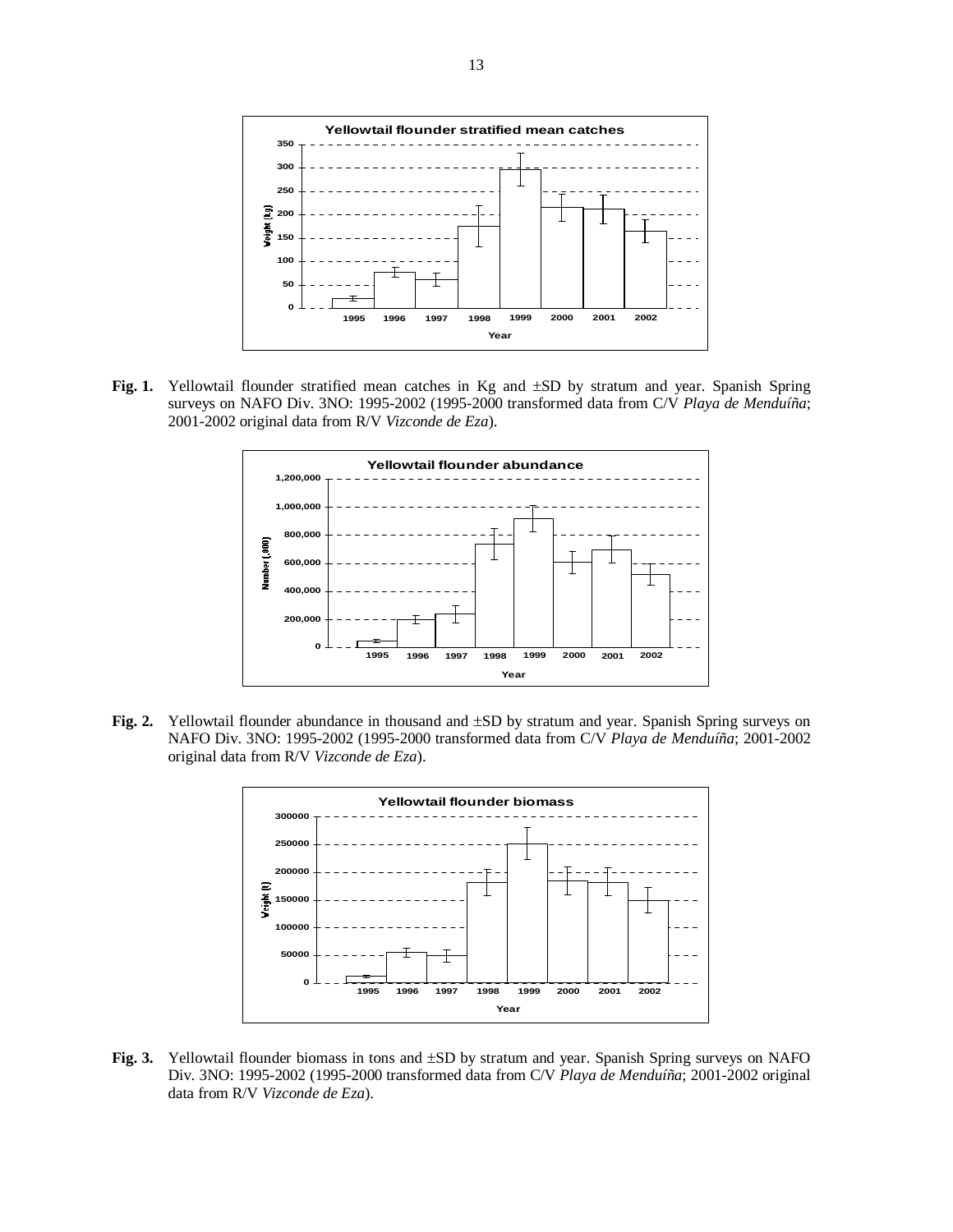

**Fig. 1.** Yellowtail flounder stratified mean catches in Kg and ±SD by stratum and year. Spanish Spring surveys on NAFO Div. 3NO: 1995-2002 (1995-2000 transformed data from C/V *Playa de Menduíña*; 2001-2002 original data from R/V *Vizconde de Eza*).



**Fig. 2.** Yellowtail flounder abundance in thousand and ±SD by stratum and year. Spanish Spring surveys on NAFO Div. 3NO: 1995-2002 (1995-2000 transformed data from C/V *Playa de Menduíña*; 2001-2002 original data from R/V *Vizconde de Eza*).



**Fig. 3.** Yellowtail flounder biomass in tons and ±SD by stratum and year. Spanish Spring surveys on NAFO Div. 3NO: 1995-2002 (1995-2000 transformed data from C/V *Playa de Menduíña*; 2001-2002 original data from R/V *Vizconde de Eza*).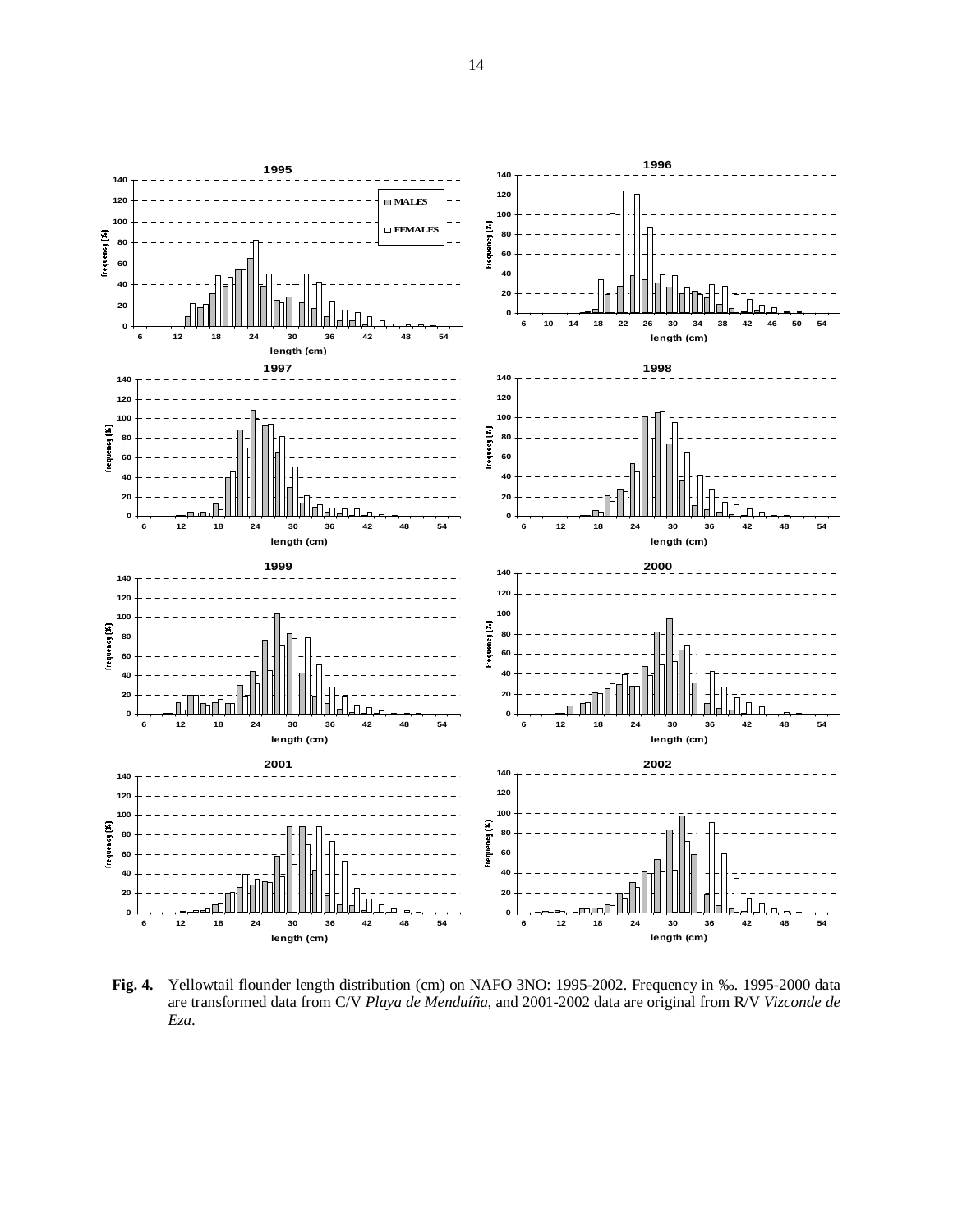

**Fig. 4.** Yellowtail flounder length distribution (cm) on NAFO 3NO: 1995-2002. Frequency in ‰. 1995-2000 data are transformed data from C/V *Playa de Menduíña*, and 2001-2002 data are original from R/V *Vizconde de Eza*.